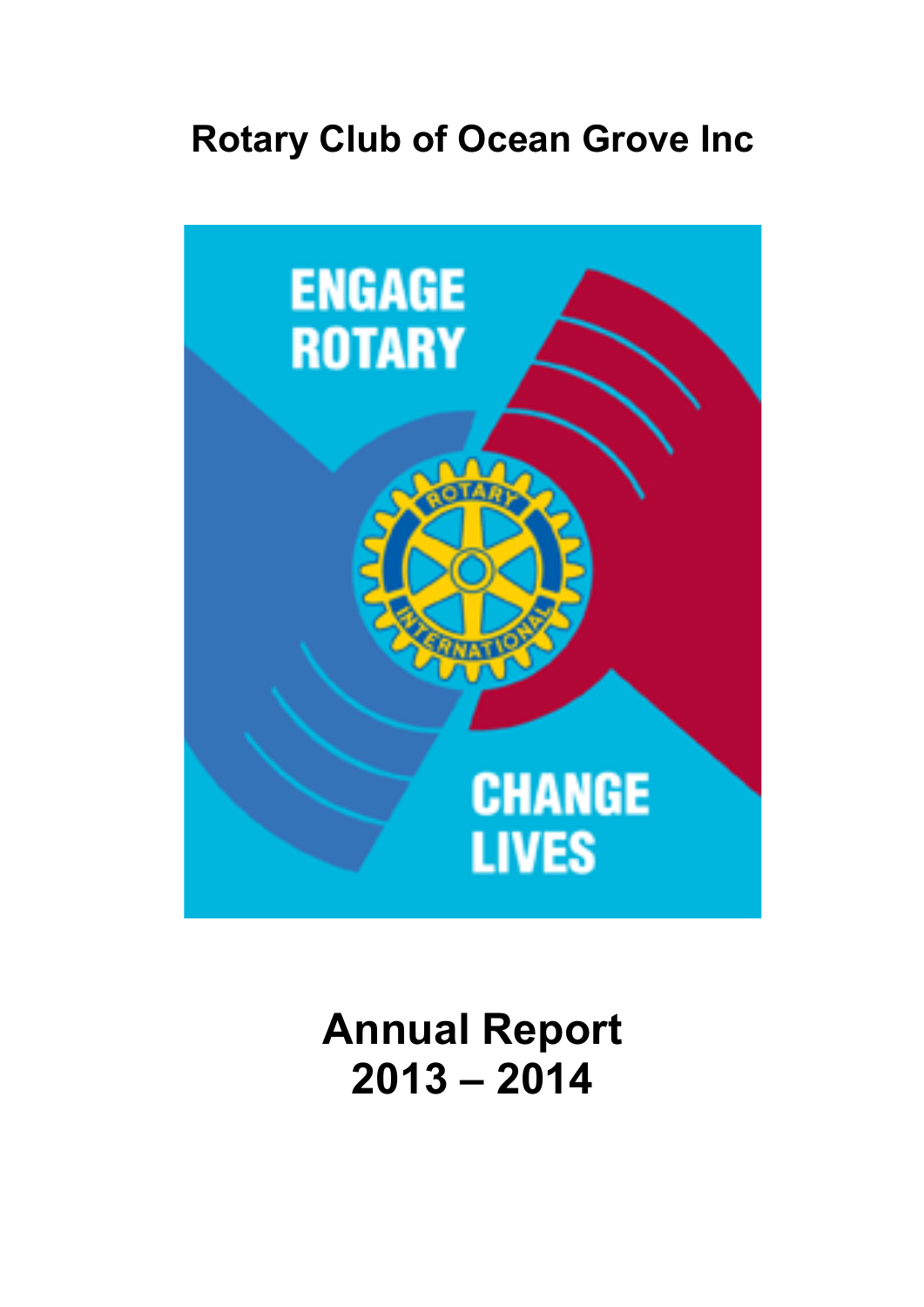# **Rotary Club of Ocean Grove Inc**



**Annual Report 2013 – 2014**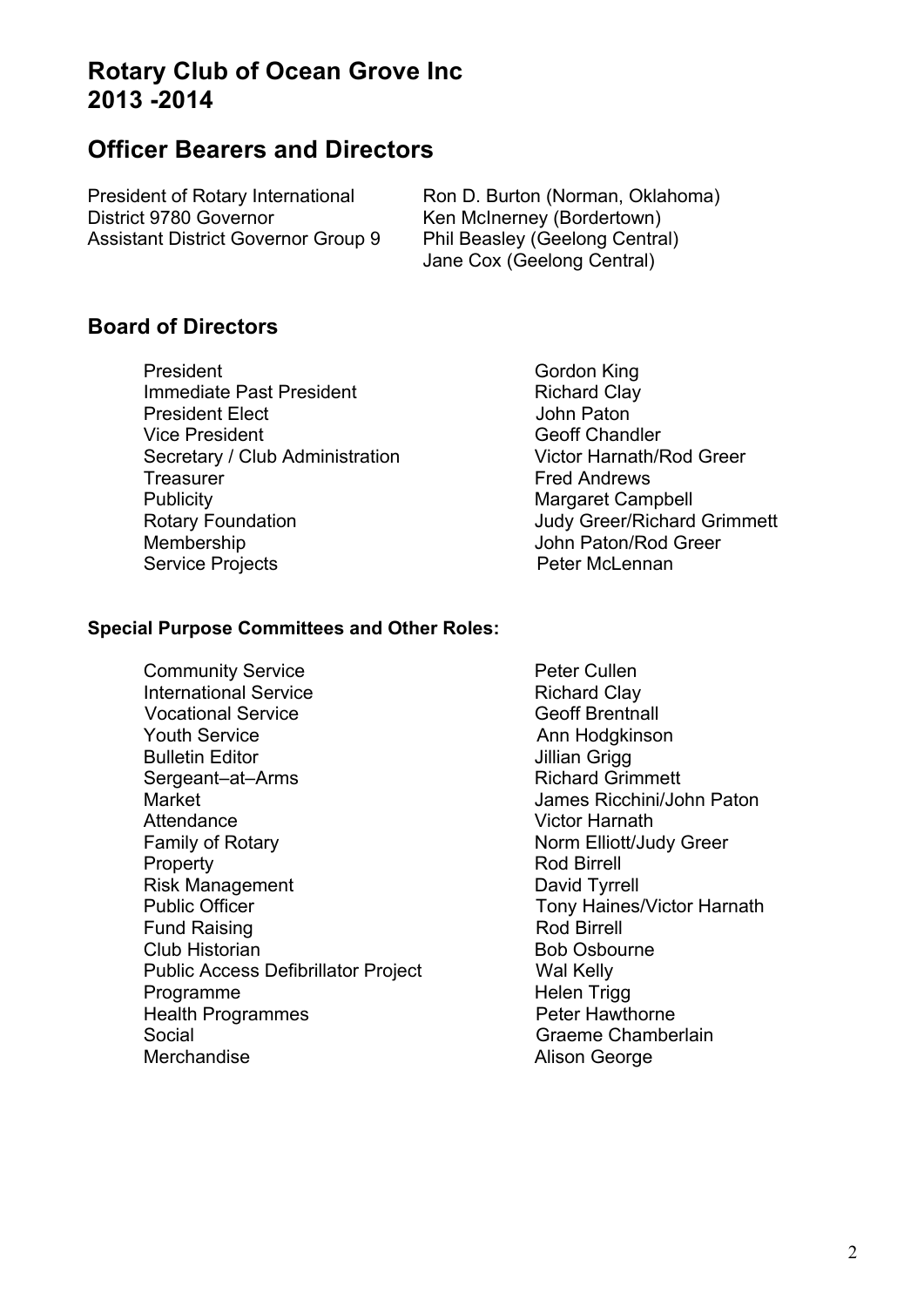## **Rotary Club of Ocean Grove Inc 2013 -2014**

## **Officer Bearers and Directors**

District 9780 Governor Ken McInerney (Bordertown) Assistant District Governor Group 9 Phil Beasley (Geelong Central)

President of Rotary International Ron D. Burton (Norman, Oklahoma) Jane Cox (Geelong Central)

### **Board of Directors**

- President Gordon King Immediate Past President Richard Clay President Elect **Internal Community** Changes John Paton Vice President Chandler Chandler Secretary / Club Administration Victor Harnath/Rod Greer Treasurer **Fred Andrews** Publicity<br>
Rotary Foundation<br>
Rotary Foundation<br>
Margaret Campbell<br>
Judy Greer/Richard Membership John Paton/Rod Greer Service Projects **Profession Contract Peter McLennan** 
	- Judy Greer/Richard Grimmett

#### **Special Purpose Committees and Other Roles:**

Community Service **Peter Cullen** International Service **Richard Clay** Vocational Service **Contract Contract Contract Contract Contract Contract Contract Contract Contract Contract Contract Contract Contract Contract Contract Contract Contract Contract Contract Contract Contract Contract Cont** Youth Service **Ann Hodgkinson** Bulletin Editor **Dividing the Set of Contract Contract Contract Contract Contract Contract Contract Contract Contract Contract Contract Contract Contract Contract Contract Contract Contract Contract Contract Contract Contr** Sergeant–at–Arms Market James Ricchini/John Paton Attendance Victor Harnath Family of Rotary Norm Elliott/Judy Greer Property **Rod Birrell** Risk Management David Tyrrell Public Officer Tony Haines/Victor Harnath Fund Raising **Rod Birrell** Club Historian **Bob Osbourne** Public Access Defibrillator Project Wal Kelly Programme Helen Trigg Health Programmes **Peter Hawthorne** Social Graeme Chamberlain Merchandise **Alison George**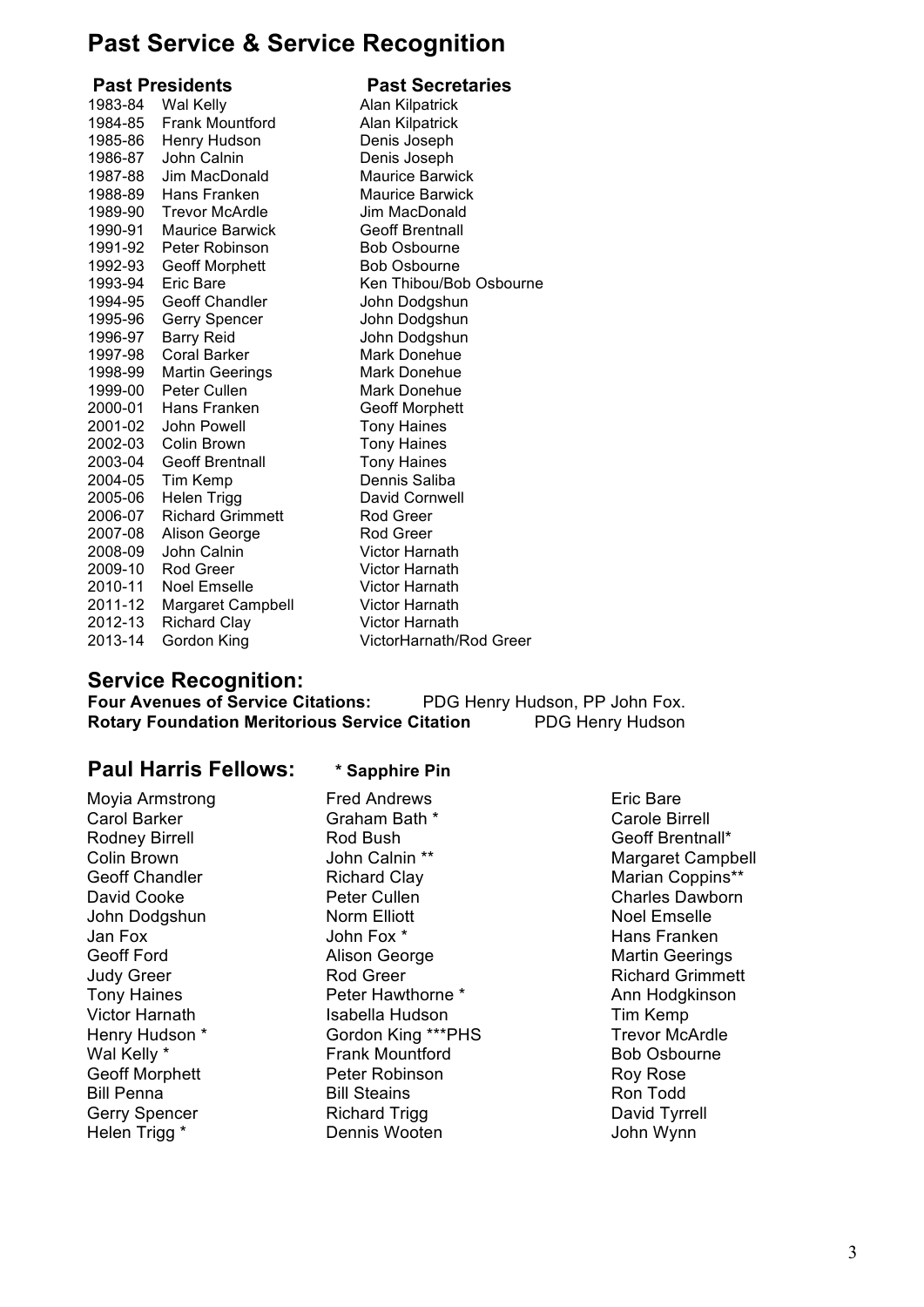## **Past Service & Service Recognition**

**Past Presidents** Past Secretaries

| 1983-84<br>1984-85<br>1985-86<br>1986-87<br>1987-88<br>1988-89<br>1989-90<br>1990-91<br>1991-92<br>1992-93<br>1993-94<br>1994-95<br>1995-96<br>1996-97<br>1997-98<br>1998-99<br>1999-00<br>2000-01<br>2001-02<br>2002-03<br>2003-04<br>2004-05<br>2005-06<br>2006-07<br>2007-08<br>2008-09<br>2009-10<br>2010-11<br>2011-12 | Wal Kelly<br><b>Frank Mountford</b><br>Henry Hudson<br>John Calnin<br>Jim MacDonald<br>Hans Franken<br><b>Trevor McArdle</b><br><b>Maurice Barwick</b><br>Peter Robinson<br><b>Geoff Morphett</b><br>Eric Bare<br><b>Geoff Chandler</b><br>Gerry Spencer<br><b>Barry Reid</b><br><b>Coral Barker</b><br><b>Martin Geerings</b><br>Peter Cullen<br>Hans Franken<br>John Powell<br>Colin Brown<br><b>Geoff Brentnall</b><br>Tim Kemp<br><b>Helen Trigg</b><br><b>Richard Grimmett</b><br>Alison George<br>John Calnin<br>Rod Greer<br>Noel Emselle<br><b>Margaret Campbell</b> | <b>Alan Kilpatrick</b><br><b>Alan Kilpatrick</b><br>Denis Joseph<br>Denis Joseph<br><b>Maurice Barwick</b><br><b>Maurice Barwick</b><br>Jim MacDonald<br><b>Geoff Brentnall</b><br><b>Bob Osbourne</b><br><b>Bob Osbourne</b><br>Ken Thibou/Bob Osbourne<br>John Dodgshun<br>John Dodgshun<br>John Dodgshun<br>Mark Donehue<br>Mark Donehue<br>Mark Donehue<br><b>Geoff Morphett</b><br><b>Tony Haines</b><br><b>Tony Haines</b><br><b>Tony Haines</b><br>Dennis Saliba<br>David Cornwell<br>Rod Greer<br>Rod Greer<br>Victor Harnath<br>Victor Harnath<br>Victor Harnath<br><b>Victor Harnath</b> |
|-----------------------------------------------------------------------------------------------------------------------------------------------------------------------------------------------------------------------------------------------------------------------------------------------------------------------------|------------------------------------------------------------------------------------------------------------------------------------------------------------------------------------------------------------------------------------------------------------------------------------------------------------------------------------------------------------------------------------------------------------------------------------------------------------------------------------------------------------------------------------------------------------------------------|----------------------------------------------------------------------------------------------------------------------------------------------------------------------------------------------------------------------------------------------------------------------------------------------------------------------------------------------------------------------------------------------------------------------------------------------------------------------------------------------------------------------------------------------------------------------------------------------------|
| 2012-13                                                                                                                                                                                                                                                                                                                     | <b>Richard Clay</b>                                                                                                                                                                                                                                                                                                                                                                                                                                                                                                                                                          | Victor Harnath                                                                                                                                                                                                                                                                                                                                                                                                                                                                                                                                                                                     |
| 2013-14                                                                                                                                                                                                                                                                                                                     | Gordon King                                                                                                                                                                                                                                                                                                                                                                                                                                                                                                                                                                  | VictorHarnath/Rod Greer                                                                                                                                                                                                                                                                                                                                                                                                                                                                                                                                                                            |
|                                                                                                                                                                                                                                                                                                                             |                                                                                                                                                                                                                                                                                                                                                                                                                                                                                                                                                                              |                                                                                                                                                                                                                                                                                                                                                                                                                                                                                                                                                                                                    |

## **Service Recognition:**

**FDG Henry Hudson, PP John Fox.**<br>**itation** PDG Henry Hudson **Rotary Foundation Meritorious Service Citation** 

#### **Paul Harris Fellows: \* Sapphire Pin**

# Moyia Armstrong Fred Andrews Fred Andrews Eric Bare<br>Carol Barker Carole Birl Graham Bath \* Carole Birl Helen Trigg \* Dennis Wooten

Graham Bath \* Carole Birrell Rodney Birrell **Rod Bush Example 2** Rod Bush Geoff Brentnall\*<br>
Colin Brown **Collin Brown** John Calnin \*\* **Collin Brown** Geoff Chandler **Richard Clay Marian Coppins\*\*** David Cooke **Peter Cullen** Charles Dawborn Charles Dawborn John Dodgshun Norm Elliott Noel Emselle Jan Fox John Fox \* Hans Franken Alison George **Martin Geerings** Judy Greer **Rod Greer** Rod Greer Richard Grimmett Tony Haines **Peter Hawthorne \*** Ann Hodgkinson Victor Harnath **Isabella Hudson** Tim Kemp<br>
Henry Hudson \* Gordon King \*\*\*PHS Trevor McArdle Henry Hudson \* Gordon King \*\*\*PHS<br>
Wal Kelly \* Trank Mountford Frank Mountford **Bob Osbourne** Geoff Morphett **Peter Robinson** Roy Rose Bill Penna Bill Steains Ron Todd<br>Gerry Spencer Richard Trigg David Tyrrell Richard Trigg<br>
Dennis Wooten

Dennis Wooten

Unit Letter Steat and Tyrne<br>
Unit View John Wynn

**Margaret Campbell**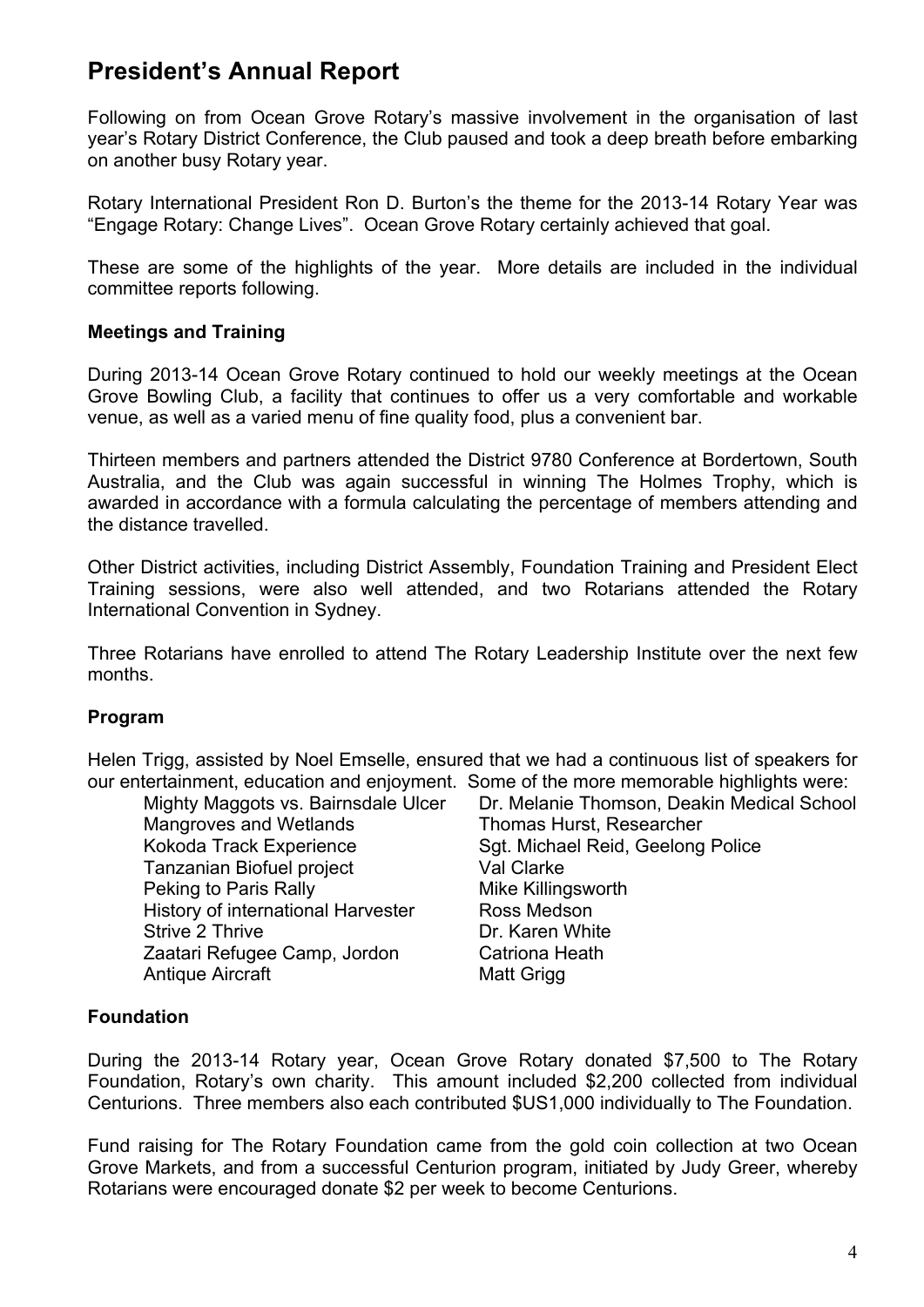## **President's Annual Report**

Following on from Ocean Grove Rotary's massive involvement in the organisation of last year's Rotary District Conference, the Club paused and took a deep breath before embarking on another busy Rotary year.

Rotary International President Ron D. Burton's the theme for the 2013-14 Rotary Year was "Engage Rotary: Change Lives". Ocean Grove Rotary certainly achieved that goal.

These are some of the highlights of the year. More details are included in the individual committee reports following.

#### **Meetings and Training**

During 2013-14 Ocean Grove Rotary continued to hold our weekly meetings at the Ocean Grove Bowling Club, a facility that continues to offer us a very comfortable and workable venue, as well as a varied menu of fine quality food, plus a convenient bar.

Thirteen members and partners attended the District 9780 Conference at Bordertown, South Australia, and the Club was again successful in winning The Holmes Trophy, which is awarded in accordance with a formula calculating the percentage of members attending and the distance travelled.

Other District activities, including District Assembly, Foundation Training and President Elect Training sessions, were also well attended, and two Rotarians attended the Rotary International Convention in Sydney.

Three Rotarians have enrolled to attend The Rotary Leadership Institute over the next few months.

#### **Program**

Helen Trigg, assisted by Noel Emselle, ensured that we had a continuous list of speakers for our entertainment, education and enjoyment. Some of the more memorable highlights were:

Mangroves and Wetlands Thomas Hurst, Researcher Tanzanian Biofuel project Val Clarke Peking to Paris Rally Mike Killingsworth History of international Harvester Ross Medson Strive 2 Thrive **Dr. Karen White** Zaatari Refugee Camp, Jordon Catriona Heath Antique Aircraft Matt Grigg

Mighty Maggots vs. Bairnsdale Ulcer Dr. Melanie Thomson, Deakin Medical School Kokoda Track Experience Sgt. Michael Reid, Geelong Police

#### **Foundation**

During the 2013-14 Rotary year, Ocean Grove Rotary donated \$7,500 to The Rotary Foundation, Rotary's own charity. This amount included \$2,200 collected from individual Centurions. Three members also each contributed \$US1,000 individually to The Foundation.

Fund raising for The Rotary Foundation came from the gold coin collection at two Ocean Grove Markets, and from a successful Centurion program, initiated by Judy Greer, whereby Rotarians were encouraged donate \$2 per week to become Centurions.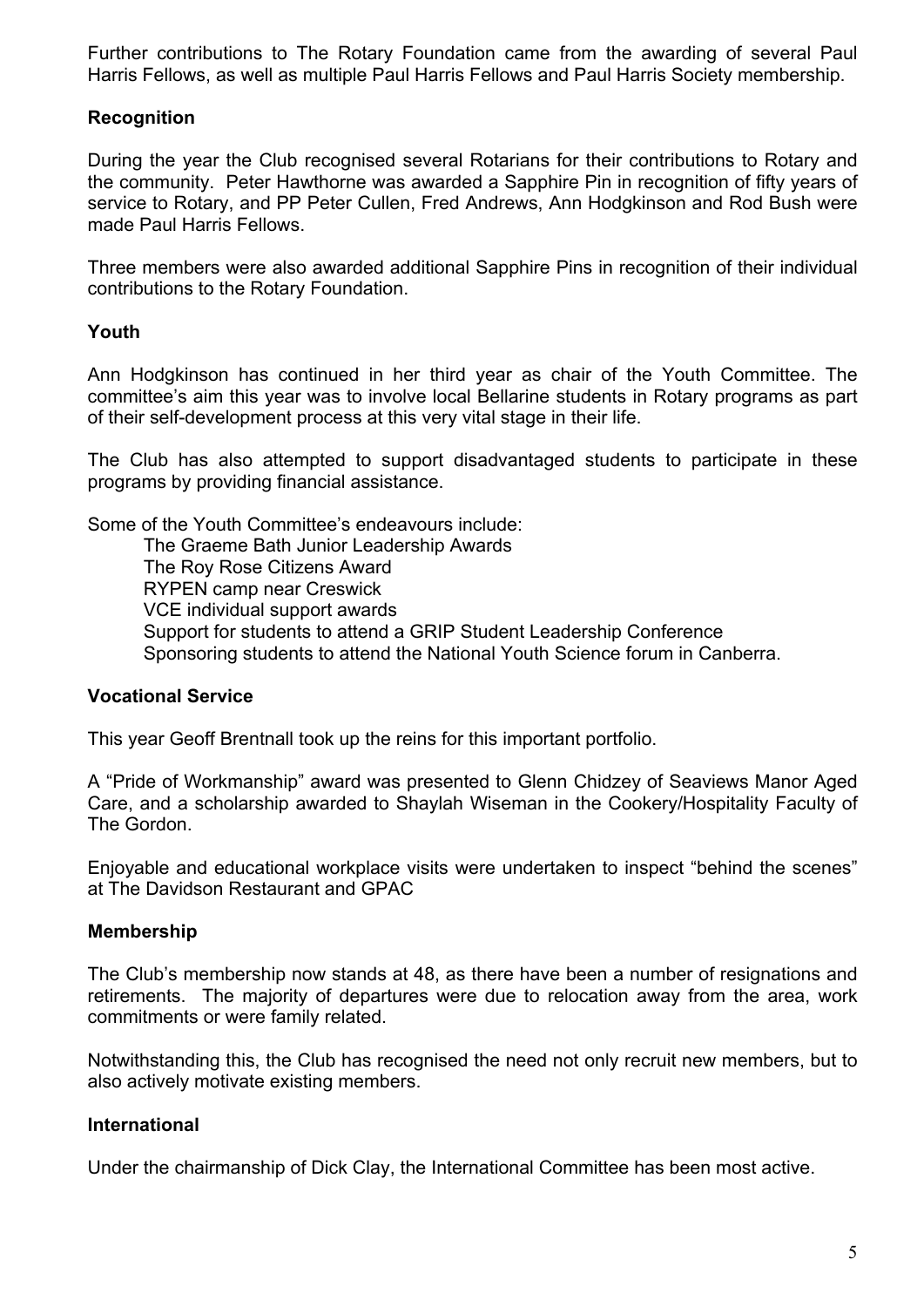Further contributions to The Rotary Foundation came from the awarding of several Paul Harris Fellows, as well as multiple Paul Harris Fellows and Paul Harris Society membership.

#### **Recognition**

During the year the Club recognised several Rotarians for their contributions to Rotary and the community. Peter Hawthorne was awarded a Sapphire Pin in recognition of fifty years of service to Rotary, and PP Peter Cullen, Fred Andrews, Ann Hodgkinson and Rod Bush were made Paul Harris Fellows.

Three members were also awarded additional Sapphire Pins in recognition of their individual contributions to the Rotary Foundation.

#### **Youth**

Ann Hodgkinson has continued in her third year as chair of the Youth Committee. The committee's aim this year was to involve local Bellarine students in Rotary programs as part of their self-development process at this very vital stage in their life.

The Club has also attempted to support disadvantaged students to participate in these programs by providing financial assistance.

Some of the Youth Committee's endeavours include:

The Graeme Bath Junior Leadership Awards The Roy Rose Citizens Award RYPEN camp near Creswick VCE individual support awards Support for students to attend a GRIP Student Leadership Conference Sponsoring students to attend the National Youth Science forum in Canberra.

#### **Vocational Service**

This year Geoff Brentnall took up the reins for this important portfolio.

A "Pride of Workmanship" award was presented to Glenn Chidzey of Seaviews Manor Aged Care, and a scholarship awarded to Shaylah Wiseman in the Cookery/Hospitality Faculty of The Gordon.

Enjoyable and educational workplace visits were undertaken to inspect "behind the scenes" at The Davidson Restaurant and GPAC

#### **Membership**

The Club's membership now stands at 48, as there have been a number of resignations and retirements. The majority of departures were due to relocation away from the area, work commitments or were family related.

Notwithstanding this, the Club has recognised the need not only recruit new members, but to also actively motivate existing members.

#### **International**

Under the chairmanship of Dick Clay, the International Committee has been most active.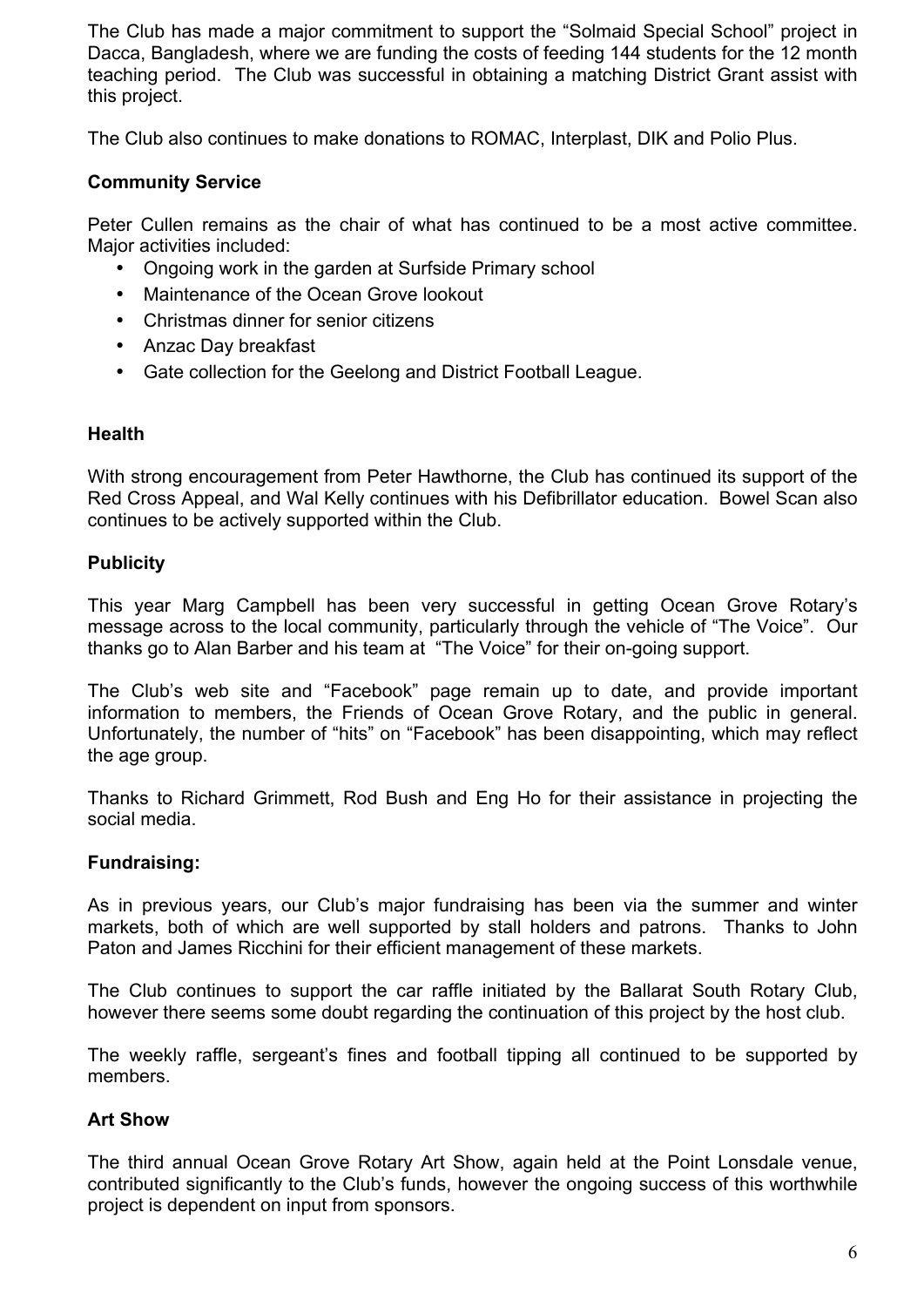The Club has made a major commitment to support the "Solmaid Special School" project in Dacca, Bangladesh, where we are funding the costs of feeding 144 students for the 12 month teaching period. The Club was successful in obtaining a matching District Grant assist with this project.

The Club also continues to make donations to ROMAC, Interplast, DIK and Polio Plus.

#### **Community Service**

Peter Cullen remains as the chair of what has continued to be a most active committee. Major activities included:

- Ongoing work in the garden at Surfside Primary school
- Maintenance of the Ocean Grove lookout
- Christmas dinner for senior citizens
- Anzac Day breakfast
- Gate collection for the Geelong and District Football League.

#### **Health**

With strong encouragement from Peter Hawthorne, the Club has continued its support of the Red Cross Appeal, and Wal Kelly continues with his Defibrillator education. Bowel Scan also continues to be actively supported within the Club.

#### **Publicity**

This year Marg Campbell has been very successful in getting Ocean Grove Rotary's message across to the local community, particularly through the vehicle of "The Voice". Our thanks go to Alan Barber and his team at "The Voice" for their on-going support.

The Club's web site and "Facebook" page remain up to date, and provide important information to members, the Friends of Ocean Grove Rotary, and the public in general. Unfortunately, the number of "hits" on "Facebook" has been disappointing, which may reflect the age group.

Thanks to Richard Grimmett, Rod Bush and Eng Ho for their assistance in projecting the social media.

#### **Fundraising:**

As in previous years, our Club's major fundraising has been via the summer and winter markets, both of which are well supported by stall holders and patrons. Thanks to John Paton and James Ricchini for their efficient management of these markets.

The Club continues to support the car raffle initiated by the Ballarat South Rotary Club, however there seems some doubt regarding the continuation of this project by the host club.

The weekly raffle, sergeant's fines and football tipping all continued to be supported by members.

#### **Art Show**

The third annual Ocean Grove Rotary Art Show, again held at the Point Lonsdale venue, contributed significantly to the Club's funds, however the ongoing success of this worthwhile project is dependent on input from sponsors.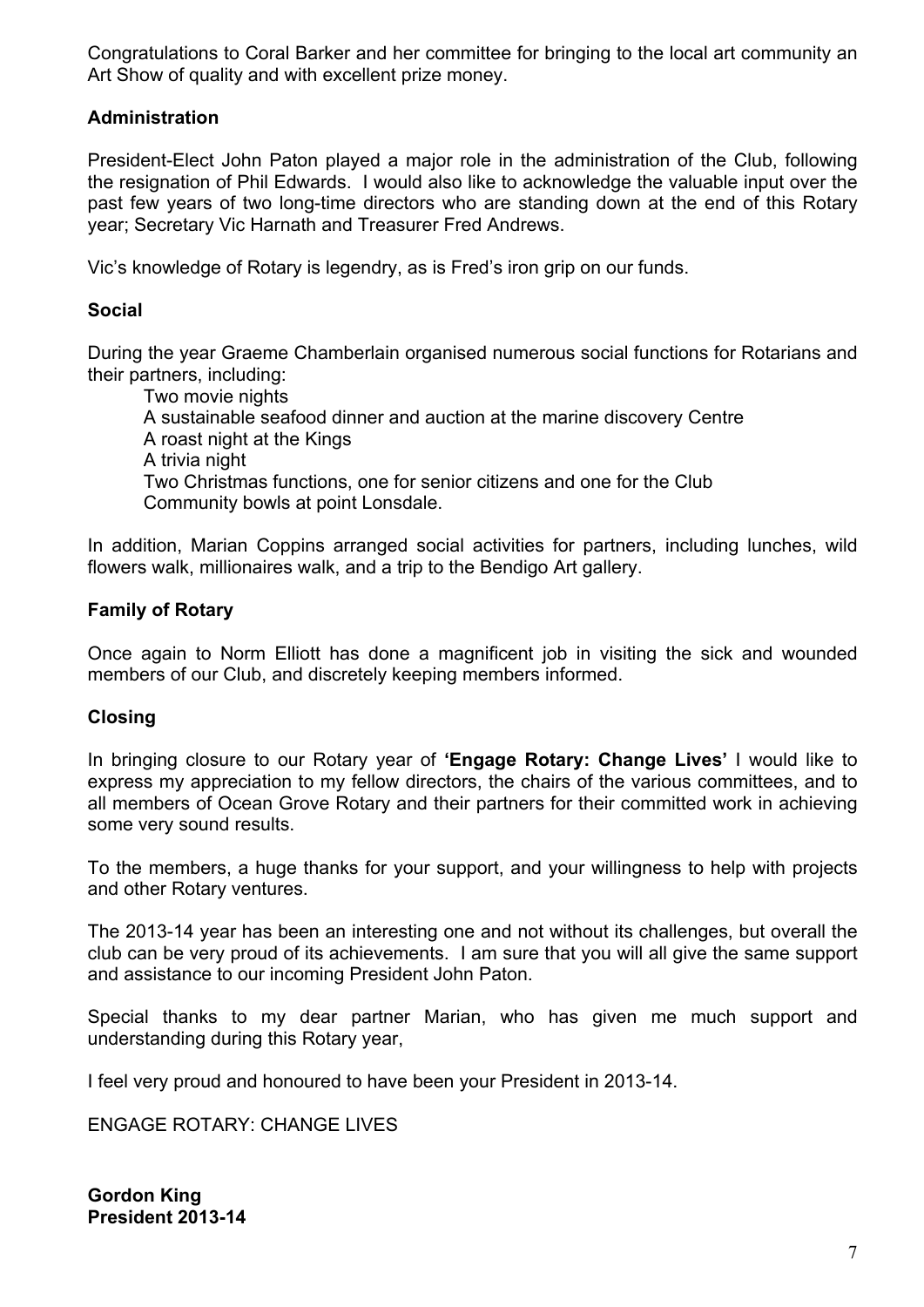Congratulations to Coral Barker and her committee for bringing to the local art community an Art Show of quality and with excellent prize money.

#### **Administration**

President-Elect John Paton played a major role in the administration of the Club, following the resignation of Phil Edwards. I would also like to acknowledge the valuable input over the past few years of two long-time directors who are standing down at the end of this Rotary year; Secretary Vic Harnath and Treasurer Fred Andrews.

Vic's knowledge of Rotary is legendry, as is Fred's iron grip on our funds.

#### **Social**

During the year Graeme Chamberlain organised numerous social functions for Rotarians and their partners, including:

Two movie nights A sustainable seafood dinner and auction at the marine discovery Centre A roast night at the Kings A trivia night Two Christmas functions, one for senior citizens and one for the Club Community bowls at point Lonsdale.

In addition, Marian Coppins arranged social activities for partners, including lunches, wild flowers walk, millionaires walk, and a trip to the Bendigo Art gallery.

#### **Family of Rotary**

Once again to Norm Elliott has done a magnificent job in visiting the sick and wounded members of our Club, and discretely keeping members informed.

#### **Closing**

In bringing closure to our Rotary year of **'Engage Rotary: Change Lives'** I would like to express my appreciation to my fellow directors, the chairs of the various committees, and to all members of Ocean Grove Rotary and their partners for their committed work in achieving some very sound results.

To the members, a huge thanks for your support, and your willingness to help with projects and other Rotary ventures.

The 2013-14 year has been an interesting one and not without its challenges, but overall the club can be very proud of its achievements. I am sure that you will all give the same support and assistance to our incoming President John Paton.

Special thanks to my dear partner Marian, who has given me much support and understanding during this Rotary year,

I feel very proud and honoured to have been your President in 2013-14.

ENGAGE ROTARY: CHANGE LIVES

**Gordon King President 2013-14**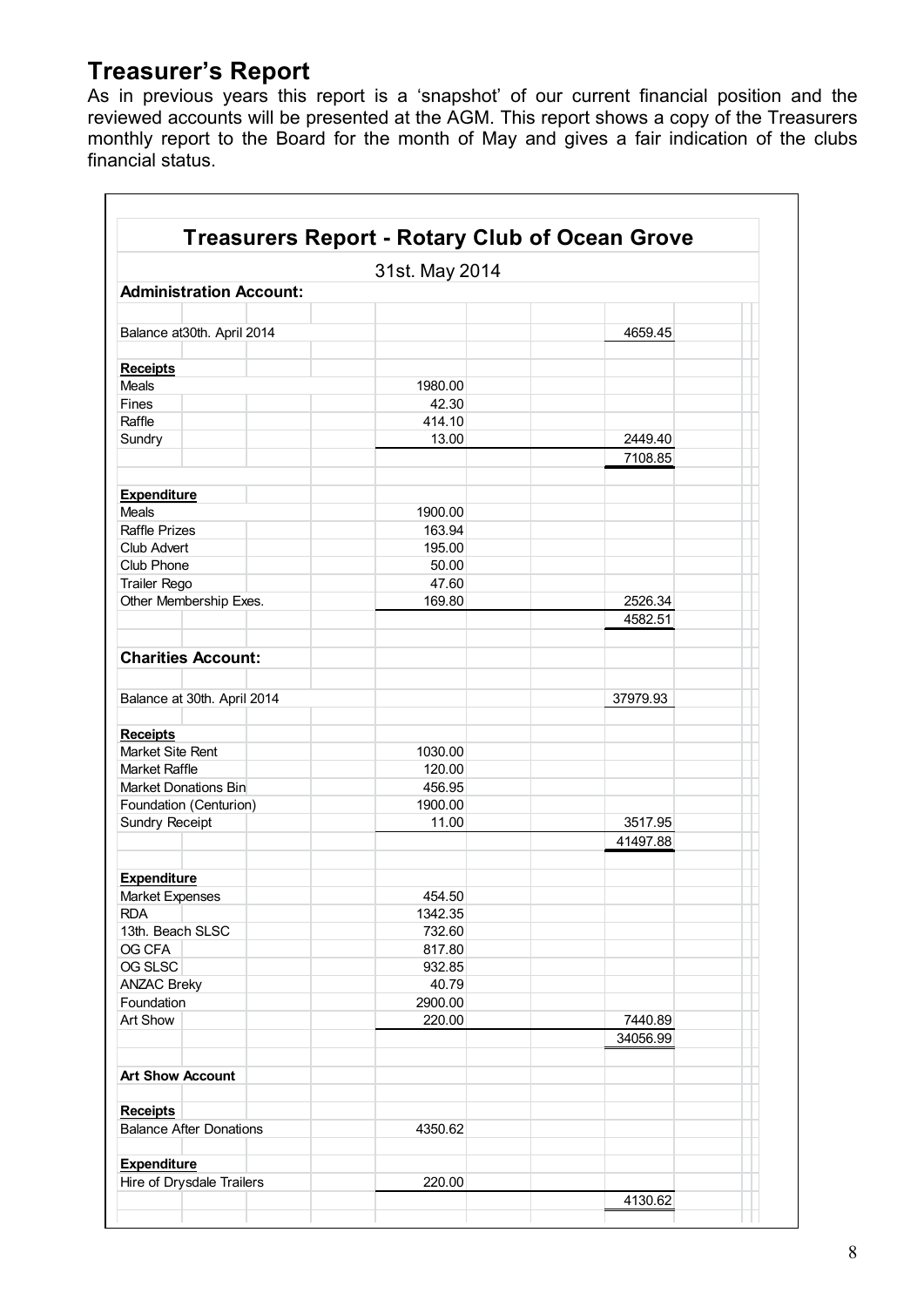## **Treasurer's Report**

As in previous years this report is a 'snapshot' of our current financial position and the reviewed accounts will be presented at the AGM. This report shows a copy of the Treasurers monthly report to the Board for the month of May and gives a fair indication of the clubs financial status.

|                                                 | 31st. May 2014  |          |
|-------------------------------------------------|-----------------|----------|
| <b>Administration Account:</b>                  |                 |          |
|                                                 |                 |          |
| Balance at 30th. April 2014                     |                 | 4659.45  |
|                                                 |                 |          |
| <b>Receipts</b>                                 |                 |          |
| Meals                                           | 1980.00         |          |
| Fines                                           | 42.30           |          |
| Raffle                                          | 414.10          |          |
| Sundry                                          | 13.00           | 2449.40  |
|                                                 |                 | 7108.85  |
|                                                 |                 |          |
| <b>Expenditure</b>                              |                 |          |
| Meals                                           | 1900.00         |          |
| <b>Raffle Prizes</b>                            | 163.94          |          |
| Club Advert                                     | 195.00<br>50.00 |          |
| Club Phone                                      | 47.60           |          |
| Trailer Rego<br>Other Membership Exes.          | 169.80          | 2526.34  |
|                                                 |                 | 4582.51  |
|                                                 |                 |          |
| <b>Charities Account:</b>                       |                 |          |
|                                                 |                 |          |
|                                                 |                 |          |
| Balance at 30th. April 2014                     |                 | 37979.93 |
|                                                 |                 |          |
| <b>Receipts</b><br>Market Site Rent             | 1030.00         |          |
| <b>Market Raffle</b>                            | 120.00          |          |
| Market Donations Bin                            | 456.95          |          |
| Foundation (Centurion)                          | 1900.00         |          |
| Sundry Receipt                                  | 11.00           | 3517.95  |
|                                                 |                 | 41497.88 |
|                                                 |                 |          |
| <b>Expenditure</b>                              |                 |          |
| <b>Market Expenses</b>                          | 454.50          |          |
| <b>RDA</b>                                      | 1342.35         |          |
| 13th. Beach SLSC                                | 732.60          |          |
| OG CFA                                          | 817.80          |          |
| OG SLSC                                         | 932.85          |          |
| <b>ANZAC Breky</b>                              | 40.79           |          |
| Foundation                                      | 2900.00         |          |
| Art Show                                        | 220.00          | 7440.89  |
|                                                 |                 | 34056.99 |
|                                                 |                 |          |
| <b>Art Show Account</b>                         |                 |          |
|                                                 |                 |          |
| <b>Receipts</b>                                 |                 |          |
| <b>Balance After Donations</b>                  | 4350.62         |          |
|                                                 |                 |          |
| <b>Expenditure</b><br>Hire of Drysdale Trailers |                 |          |
|                                                 | 220.00          |          |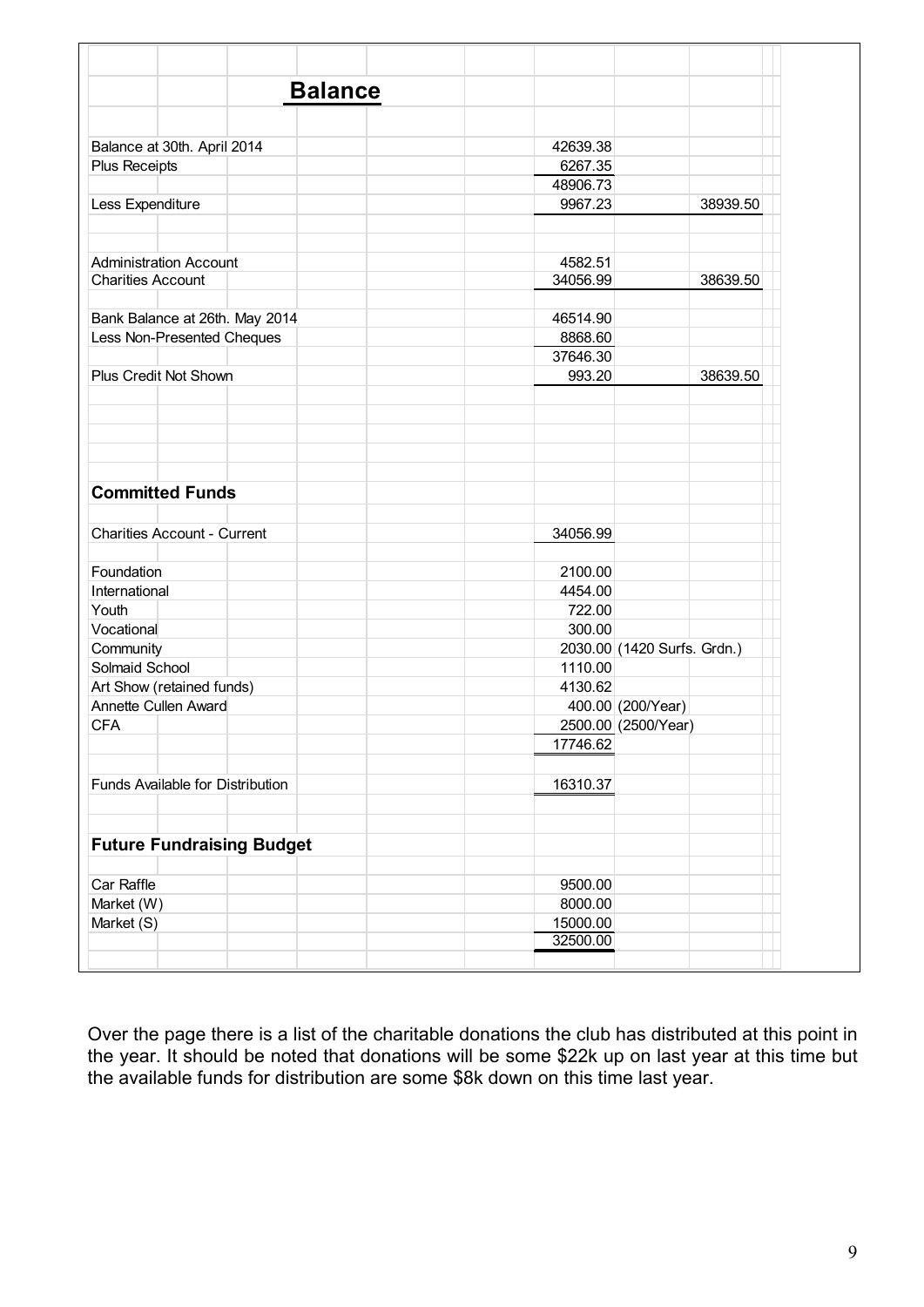| <b>Balance</b>                                    |                             |          |
|---------------------------------------------------|-----------------------------|----------|
|                                                   |                             |          |
| Balance at 30th. April 2014                       | 42639.38                    |          |
| Plus Receipts                                     | 6267.35                     |          |
|                                                   | 48906.73                    |          |
| Less Expenditure                                  | 9967.23                     | 38939.50 |
|                                                   |                             |          |
| <b>Administration Account</b>                     | 4582.51                     |          |
| <b>Charities Account</b>                          | 34056.99                    | 38639.50 |
|                                                   |                             |          |
| Bank Balance at 26th. May 2014                    | 46514.90                    |          |
| Less Non-Presented Cheques                        | 8868.60                     |          |
|                                                   | 37646.30                    |          |
| Plus Credit Not Shown                             | 993.20                      | 38639.50 |
|                                                   |                             |          |
|                                                   |                             |          |
|                                                   |                             |          |
|                                                   |                             |          |
|                                                   |                             |          |
| <b>Committed Funds</b>                            |                             |          |
|                                                   |                             |          |
| <b>Charities Account - Current</b>                | 34056.99                    |          |
|                                                   |                             |          |
| Foundation                                        | 2100.00                     |          |
| International                                     | 4454.00                     |          |
| Youth                                             | 722.00                      |          |
| Vocational                                        | 300.00                      |          |
|                                                   | 2030.00 (1420 Surfs. Grdn.) |          |
| Community<br>Solmaid School                       | 1110.00                     |          |
|                                                   | 4130.62                     |          |
| Art Show (retained funds)<br>Annette Cullen Award | 400.00 (200/Year)           |          |
| <b>CFA</b>                                        |                             |          |
|                                                   | 2500.00 (2500/Year)         |          |
|                                                   | 17746.62                    |          |
|                                                   |                             |          |
| Funds Available for Distribution                  | 16310.37                    |          |
|                                                   |                             |          |
| <b>Future Fundraising Budget</b>                  |                             |          |
| Car Raffle                                        | 9500.00                     |          |
| Market (W)                                        | 8000.00                     |          |
| Market (S)                                        | 15000.00                    |          |
|                                                   | 32500.00                    |          |
|                                                   |                             |          |

Over the page there is a list of the charitable donations the club has distributed at this point in the year. It should be noted that donations will be some \$22k up on last year at this time but the available funds for distribution are some \$8k down on this time last year.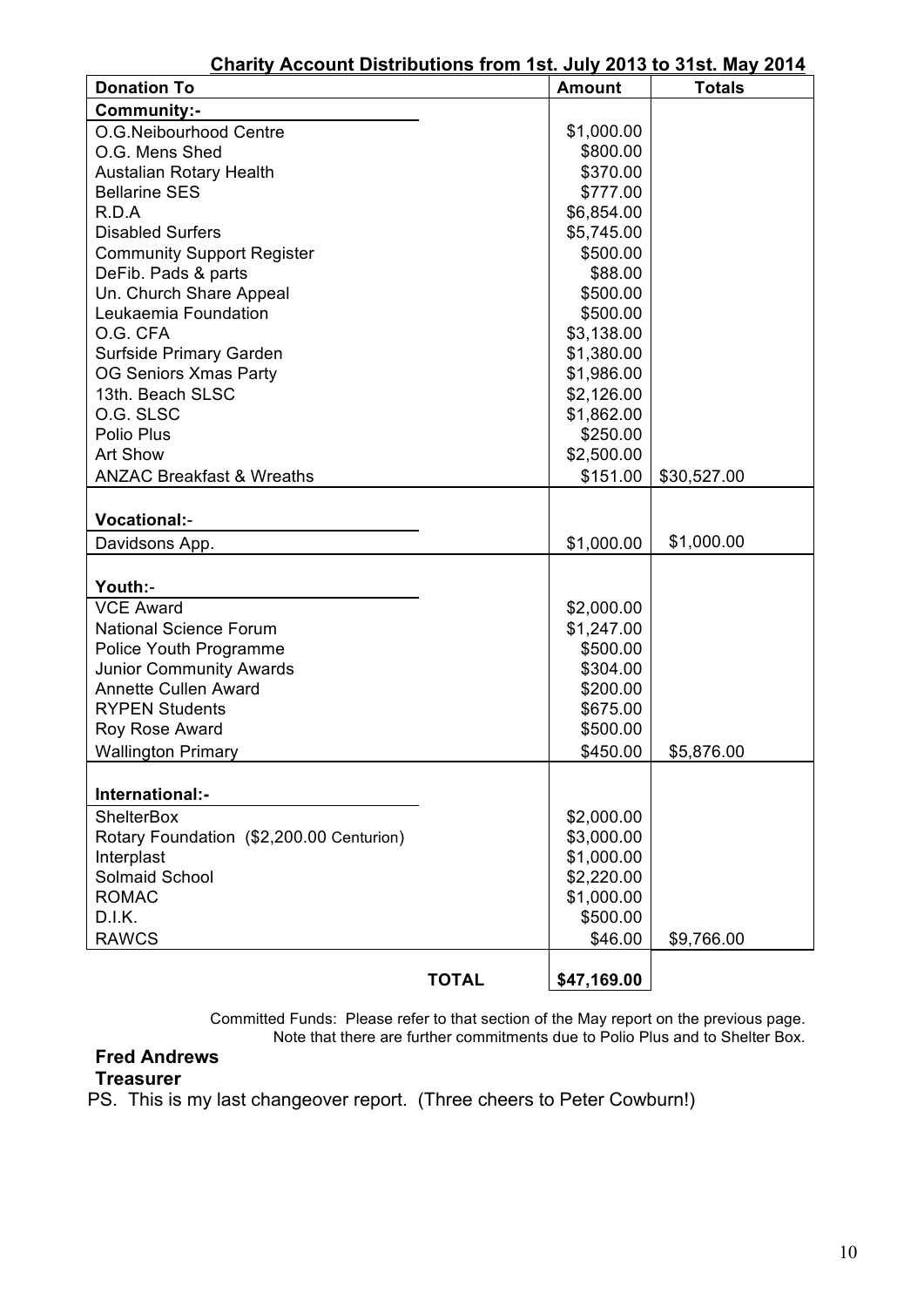| Unahly Account Distributions from 15t. July 2013 to 31St. May 2014<br><b>Donation To</b> |              | Amount      | <b>Totals</b> |
|------------------------------------------------------------------------------------------|--------------|-------------|---------------|
| Community:-                                                                              |              |             |               |
| O.G.Neibourhood Centre                                                                   |              | \$1,000.00  |               |
| O.G. Mens Shed                                                                           |              | \$800.00    |               |
| <b>Austalian Rotary Health</b>                                                           |              | \$370.00    |               |
| <b>Bellarine SES</b>                                                                     |              | \$777.00    |               |
| R.D.A                                                                                    |              | \$6,854.00  |               |
| <b>Disabled Surfers</b>                                                                  |              | \$5,745.00  |               |
| <b>Community Support Register</b>                                                        |              | \$500.00    |               |
| DeFib. Pads & parts                                                                      |              | \$88.00     |               |
| Un. Church Share Appeal                                                                  |              | \$500.00    |               |
| Leukaemia Foundation                                                                     |              | \$500.00    |               |
| O.G. CFA                                                                                 |              | \$3,138.00  |               |
| Surfside Primary Garden                                                                  |              | \$1,380.00  |               |
| <b>OG Seniors Xmas Party</b>                                                             |              | \$1,986.00  |               |
| 13th. Beach SLSC                                                                         |              | \$2,126.00  |               |
| O.G. SLSC                                                                                |              | \$1,862.00  |               |
| Polio Plus                                                                               |              | \$250.00    |               |
| <b>Art Show</b>                                                                          |              | \$2,500.00  |               |
| <b>ANZAC Breakfast &amp; Wreaths</b>                                                     |              | \$151.00    | \$30,527.00   |
|                                                                                          |              |             |               |
| <b>Vocational:-</b>                                                                      |              |             |               |
| Davidsons App.                                                                           |              | \$1,000.00  | \$1,000.00    |
|                                                                                          |              |             |               |
| Youth:-                                                                                  |              |             |               |
| <b>VCE Award</b>                                                                         |              | \$2,000.00  |               |
| <b>National Science Forum</b>                                                            |              | \$1,247.00  |               |
| Police Youth Programme                                                                   |              | \$500.00    |               |
| <b>Junior Community Awards</b>                                                           |              | \$304.00    |               |
| <b>Annette Cullen Award</b>                                                              |              | \$200.00    |               |
| <b>RYPEN Students</b>                                                                    |              | \$675.00    |               |
| Roy Rose Award                                                                           |              | \$500.00    |               |
| <b>Wallington Primary</b>                                                                |              | \$450.00    | \$5,876.00    |
|                                                                                          |              |             |               |
| International:-                                                                          |              |             |               |
| <b>ShelterBox</b>                                                                        |              | \$2,000.00  |               |
| Rotary Foundation (\$2,200.00 Centurion)                                                 |              | \$3,000.00  |               |
| Interplast                                                                               |              | \$1,000.00  |               |
| Solmaid School                                                                           |              | \$2,220.00  |               |
| <b>ROMAC</b>                                                                             |              | \$1,000.00  |               |
| D.I.K.                                                                                   |              | \$500.00    |               |
| <b>RAWCS</b>                                                                             |              | \$46.00     | \$9,766.00    |
|                                                                                          |              |             |               |
|                                                                                          | <b>TOTAL</b> | \$47,169.00 |               |

## **Charity Account Distributions from 1st. July 2013 to 31st. May 2014**

Committed Funds: Please refer to that section of the May report on the previous page. Note that there are further commitments due to Polio Plus and to Shelter Box.

#### **Fred Andrews Treasurer**

PS. This is my last changeover report. (Three cheers to Peter Cowburn!)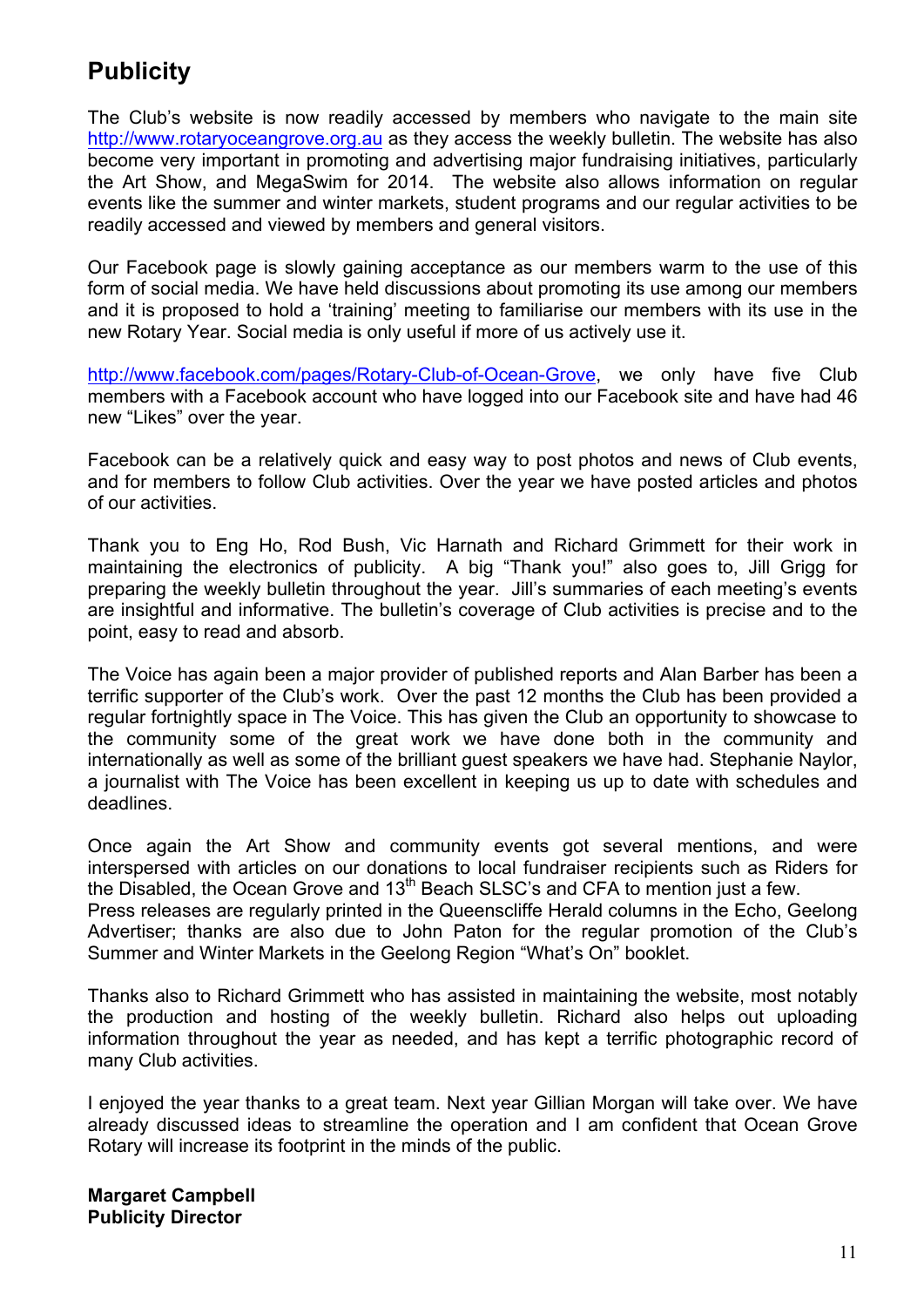## **Publicity**

The Club's website is now readily accessed by members who navigate to the main site http://www.rotaryoceangrove.org.au as they access the weekly bulletin. The website has also become very important in promoting and advertising major fundraising initiatives, particularly the Art Show, and MegaSwim for 2014. The website also allows information on regular events like the summer and winter markets, student programs and our regular activities to be readily accessed and viewed by members and general visitors.

Our Facebook page is slowly gaining acceptance as our members warm to the use of this form of social media. We have held discussions about promoting its use among our members and it is proposed to hold a 'training' meeting to familiarise our members with its use in the new Rotary Year. Social media is only useful if more of us actively use it.

http://www.facebook.com/pages/Rotary-Club-of-Ocean-Grove, we only have five Club members with a Facebook account who have logged into our Facebook site and have had 46 new "Likes" over the year.

Facebook can be a relatively quick and easy way to post photos and news of Club events, and for members to follow Club activities. Over the year we have posted articles and photos of our activities.

Thank you to Eng Ho, Rod Bush, Vic Harnath and Richard Grimmett for their work in maintaining the electronics of publicity. A big "Thank you!" also goes to, Jill Grigg for preparing the weekly bulletin throughout the year. Jill's summaries of each meeting's events are insightful and informative. The bulletin's coverage of Club activities is precise and to the point, easy to read and absorb.

The Voice has again been a major provider of published reports and Alan Barber has been a terrific supporter of the Club's work. Over the past 12 months the Club has been provided a regular fortnightly space in The Voice. This has given the Club an opportunity to showcase to the community some of the great work we have done both in the community and internationally as well as some of the brilliant guest speakers we have had. Stephanie Naylor, a journalist with The Voice has been excellent in keeping us up to date with schedules and deadlines.

Once again the Art Show and community events got several mentions, and were interspersed with articles on our donations to local fundraiser recipients such as Riders for the Disabled, the Ocean Grove and 13<sup>th</sup> Beach SLSC's and CFA to mention just a few. Press releases are regularly printed in the Queenscliffe Herald columns in the Echo, Geelong Advertiser; thanks are also due to John Paton for the regular promotion of the Club's

Summer and Winter Markets in the Geelong Region "What's On" booklet.

Thanks also to Richard Grimmett who has assisted in maintaining the website, most notably the production and hosting of the weekly bulletin. Richard also helps out uploading information throughout the year as needed, and has kept a terrific photographic record of many Club activities.

I enjoyed the year thanks to a great team. Next year Gillian Morgan will take over. We have already discussed ideas to streamline the operation and I am confident that Ocean Grove Rotary will increase its footprint in the minds of the public.

**Margaret Campbell Publicity Director**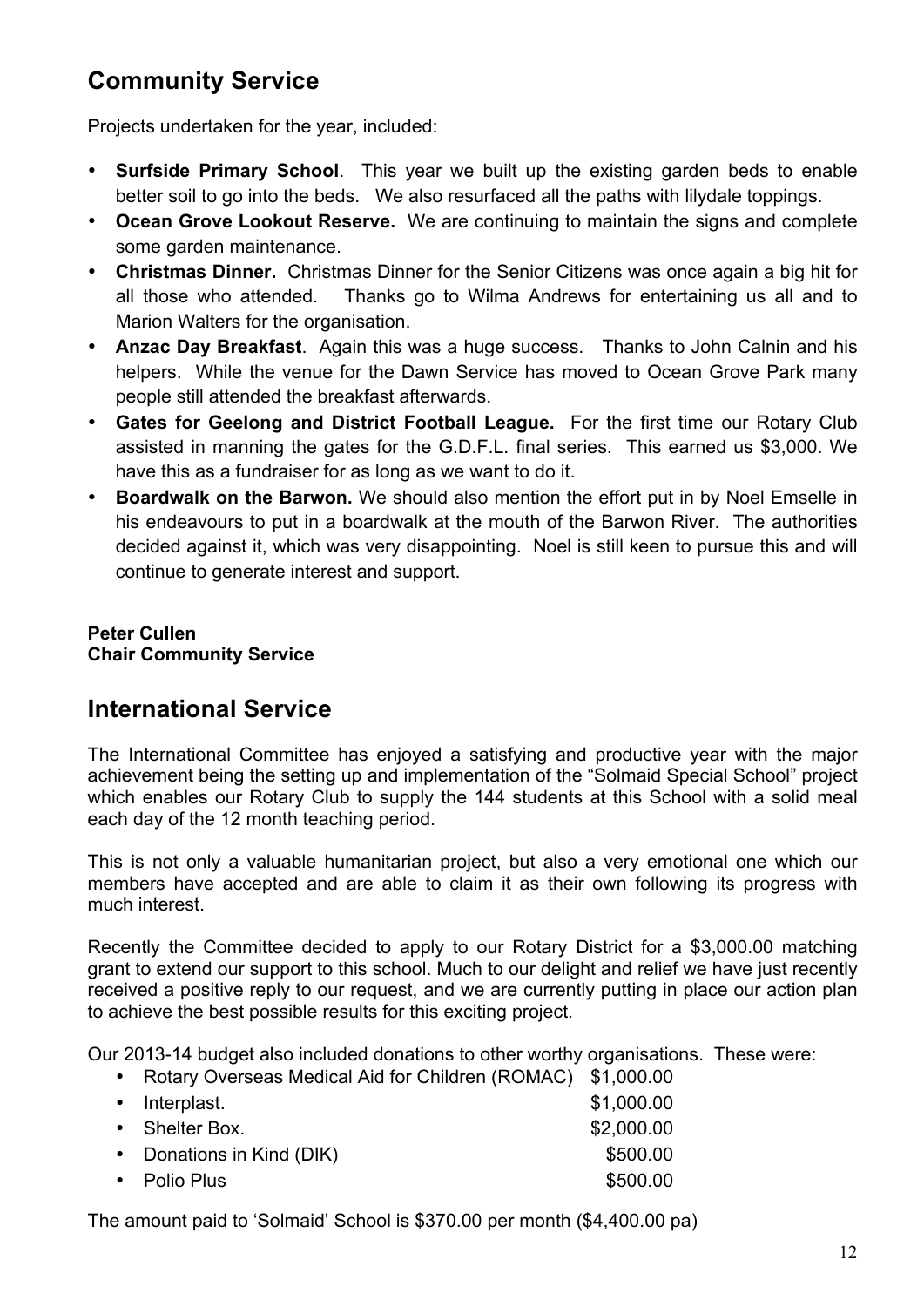## **Community Service**

Projects undertaken for the year, included:

- **Surfside Primary School**. This year we built up the existing garden beds to enable better soil to go into the beds. We also resurfaced all the paths with lilydale toppings.
- **Ocean Grove Lookout Reserve.** We are continuing to maintain the signs and complete some garden maintenance.
- **Christmas Dinner.** Christmas Dinner for the Senior Citizens was once again a big hit for all those who attended. Thanks go to Wilma Andrews for entertaining us all and to Marion Walters for the organisation.
- **Anzac Day Breakfast**. Again this was a huge success. Thanks to John Calnin and his helpers. While the venue for the Dawn Service has moved to Ocean Grove Park many people still attended the breakfast afterwards.
- **Gates for Geelong and District Football League.** For the first time our Rotary Club assisted in manning the gates for the G.D.F.L. final series. This earned us \$3,000. We have this as a fundraiser for as long as we want to do it.
- **Boardwalk on the Barwon.** We should also mention the effort put in by Noel Emselle in his endeavours to put in a boardwalk at the mouth of the Barwon River. The authorities decided against it, which was very disappointing. Noel is still keen to pursue this and will continue to generate interest and support.

**Peter Cullen Chair Community Service** 

## **International Service**

The International Committee has enjoyed a satisfying and productive year with the major achievement being the setting up and implementation of the "Solmaid Special School" project which enables our Rotary Club to supply the 144 students at this School with a solid meal each day of the 12 month teaching period.

This is not only a valuable humanitarian project, but also a very emotional one which our members have accepted and are able to claim it as their own following its progress with much interest.

Recently the Committee decided to apply to our Rotary District for a \$3,000.00 matching grant to extend our support to this school. Much to our delight and relief we have just recently received a positive reply to our request, and we are currently putting in place our action plan to achieve the best possible results for this exciting project.

Our 2013-14 budget also included donations to other worthy organisations. These were:

• Rotary Overseas Medical Aid for Children (ROMAC) \$1,000.00

| • Interplast.             | \$1,000.00 |
|---------------------------|------------|
| • Shelter Box.            | \$2,000.00 |
| • Donations in Kind (DIK) | \$500.00   |
| • Polio Plus              | \$500.00   |
|                           |            |

The amount paid to 'Solmaid' School is \$370.00 per month (\$4,400.00 pa)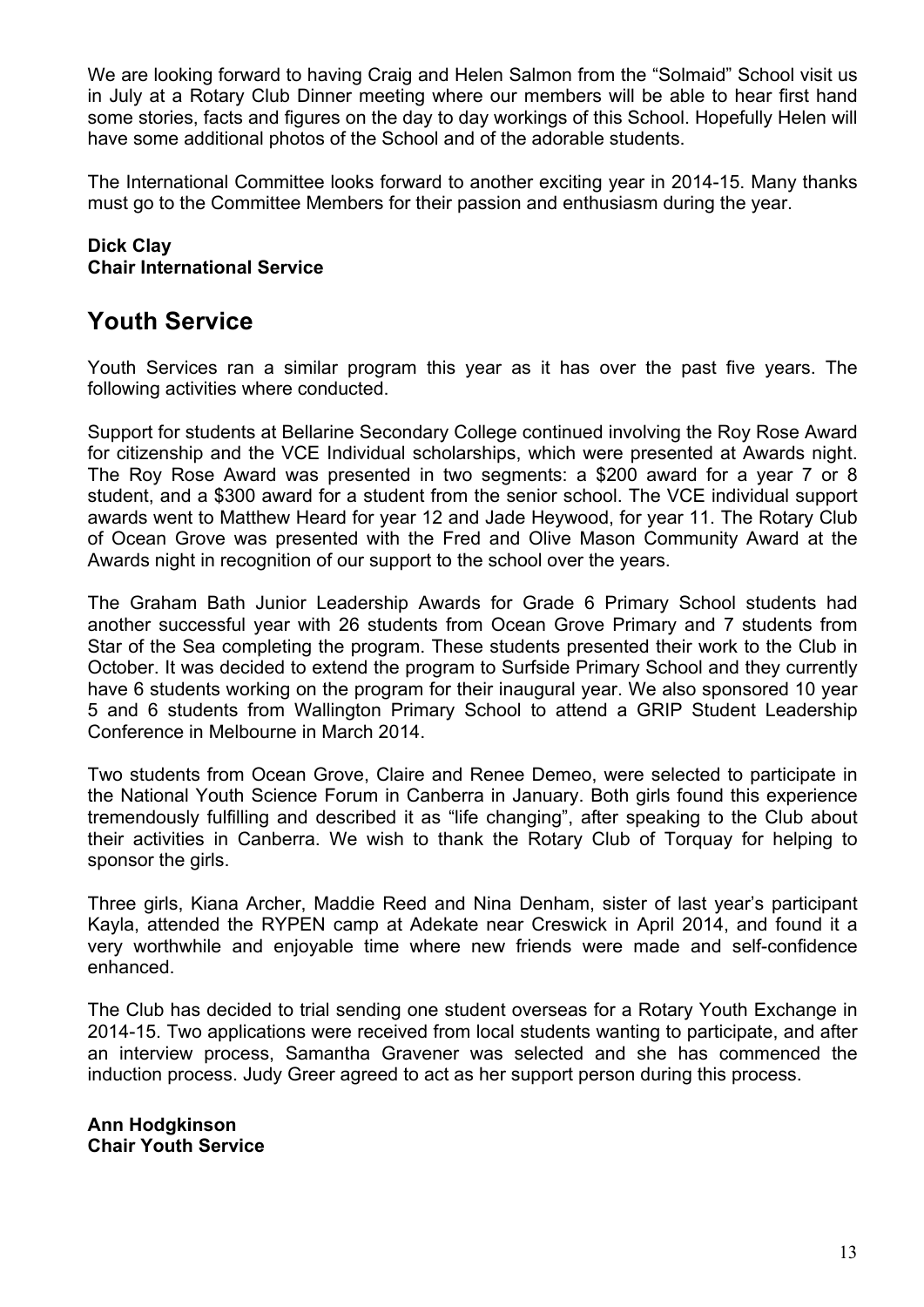We are looking forward to having Craig and Helen Salmon from the "Solmaid" School visit us in July at a Rotary Club Dinner meeting where our members will be able to hear first hand some stories, facts and figures on the day to day workings of this School. Hopefully Helen will have some additional photos of the School and of the adorable students.

The International Committee looks forward to another exciting year in 2014-15. Many thanks must go to the Committee Members for their passion and enthusiasm during the year.

#### **Dick Clay Chair International Service**

## **Youth Service**

Youth Services ran a similar program this year as it has over the past five years. The following activities where conducted.

Support for students at Bellarine Secondary College continued involving the Roy Rose Award for citizenship and the VCE Individual scholarships, which were presented at Awards night. The Roy Rose Award was presented in two segments: a \$200 award for a year 7 or 8 student, and a \$300 award for a student from the senior school. The VCE individual support awards went to Matthew Heard for year 12 and Jade Heywood, for year 11. The Rotary Club of Ocean Grove was presented with the Fred and Olive Mason Community Award at the Awards night in recognition of our support to the school over the years.

The Graham Bath Junior Leadership Awards for Grade 6 Primary School students had another successful year with 26 students from Ocean Grove Primary and 7 students from Star of the Sea completing the program. These students presented their work to the Club in October. It was decided to extend the program to Surfside Primary School and they currently have 6 students working on the program for their inaugural year. We also sponsored 10 year 5 and 6 students from Wallington Primary School to attend a GRIP Student Leadership Conference in Melbourne in March 2014.

Two students from Ocean Grove, Claire and Renee Demeo, were selected to participate in the National Youth Science Forum in Canberra in January. Both girls found this experience tremendously fulfilling and described it as "life changing", after speaking to the Club about their activities in Canberra. We wish to thank the Rotary Club of Torquay for helping to sponsor the girls.

Three girls, Kiana Archer, Maddie Reed and Nina Denham, sister of last year's participant Kayla, attended the RYPEN camp at Adekate near Creswick in April 2014, and found it a very worthwhile and enjoyable time where new friends were made and self-confidence enhanced.

The Club has decided to trial sending one student overseas for a Rotary Youth Exchange in 2014-15. Two applications were received from local students wanting to participate, and after an interview process, Samantha Gravener was selected and she has commenced the induction process. Judy Greer agreed to act as her support person during this process.

**Ann Hodgkinson Chair Youth Service**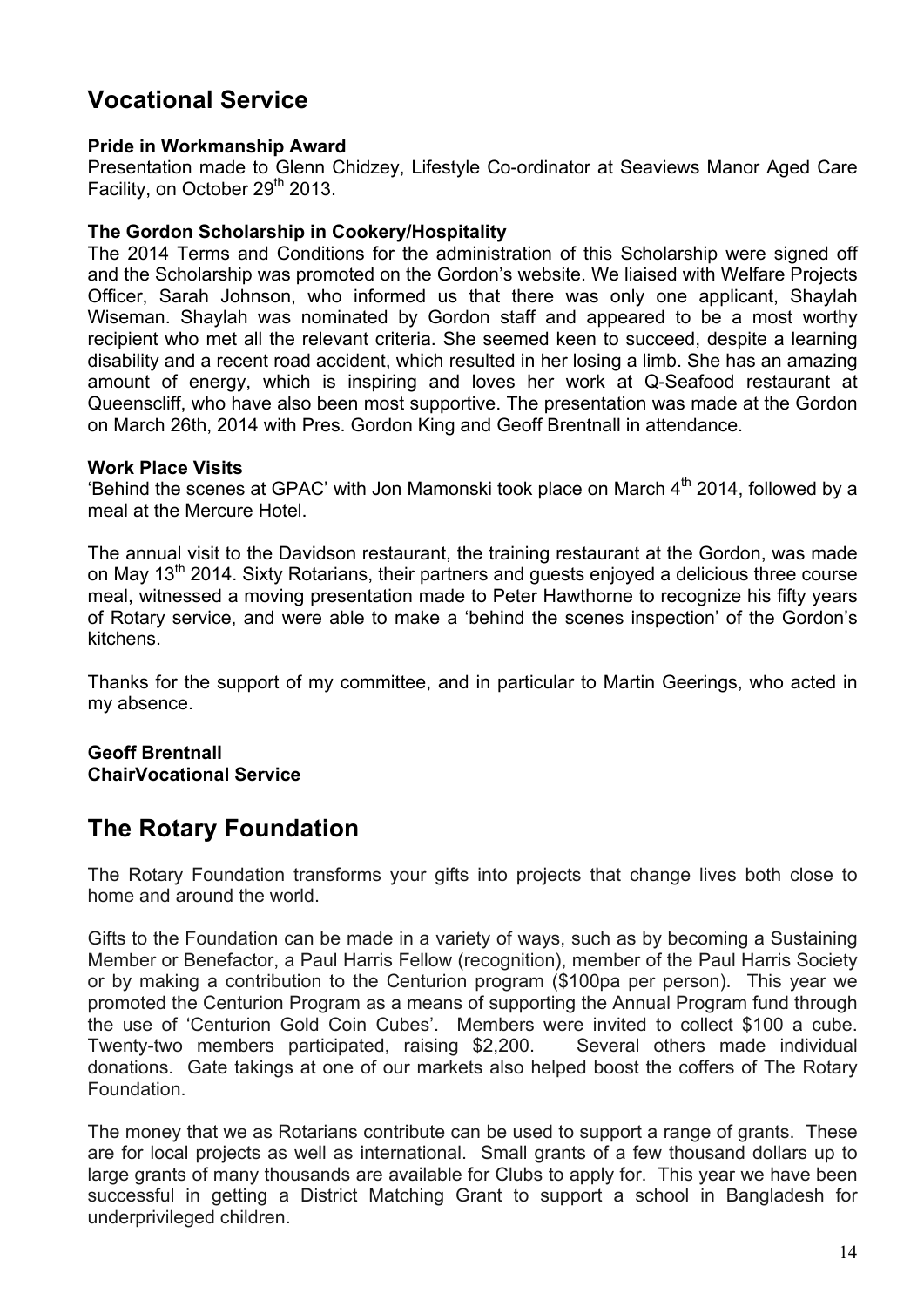## **Vocational Service**

#### **Pride in Workmanship Award**

Presentation made to Glenn Chidzey, Lifestyle Co-ordinator at Seaviews Manor Aged Care Facility, on October 29<sup>th</sup> 2013.

#### **The Gordon Scholarship in Cookery/Hospitality**

The 2014 Terms and Conditions for the administration of this Scholarship were signed off and the Scholarship was promoted on the Gordon's website. We liaised with Welfare Projects Officer, Sarah Johnson, who informed us that there was only one applicant, Shaylah Wiseman. Shaylah was nominated by Gordon staff and appeared to be a most worthy recipient who met all the relevant criteria. She seemed keen to succeed, despite a learning disability and a recent road accident, which resulted in her losing a limb. She has an amazing amount of energy, which is inspiring and loves her work at Q-Seafood restaurant at Queenscliff, who have also been most supportive. The presentation was made at the Gordon on March 26th, 2014 with Pres. Gordon King and Geoff Brentnall in attendance.

#### **Work Place Visits**

'Behind the scenes at GPAC' with Jon Mamonski took place on March  $4<sup>th</sup>$  2014, followed by a meal at the Mercure Hotel.

The annual visit to the Davidson restaurant, the training restaurant at the Gordon, was made on May 13<sup>th</sup> 2014. Sixty Rotarians, their partners and quests enjoyed a delicious three course meal, witnessed a moving presentation made to Peter Hawthorne to recognize his fifty years of Rotary service, and were able to make a 'behind the scenes inspection' of the Gordon's kitchens.

Thanks for the support of my committee, and in particular to Martin Geerings, who acted in my absence.

#### **Geoff Brentnall ChairVocational Service**

## **The Rotary Foundation**

The Rotary Foundation transforms your gifts into projects that change lives both close to home and around the world.

Gifts to the Foundation can be made in a variety of ways, such as by becoming a Sustaining Member or Benefactor, a Paul Harris Fellow (recognition), member of the Paul Harris Society or by making a contribution to the Centurion program (\$100pa per person). This year we promoted the Centurion Program as a means of supporting the Annual Program fund through the use of 'Centurion Gold Coin Cubes'. Members were invited to collect \$100 a cube. Twenty-two members participated, raising \$2,200. Several others made individual donations. Gate takings at one of our markets also helped boost the coffers of The Rotary Foundation.

The money that we as Rotarians contribute can be used to support a range of grants. These are for local projects as well as international. Small grants of a few thousand dollars up to large grants of many thousands are available for Clubs to apply for. This year we have been successful in getting a District Matching Grant to support a school in Bangladesh for underprivileged children.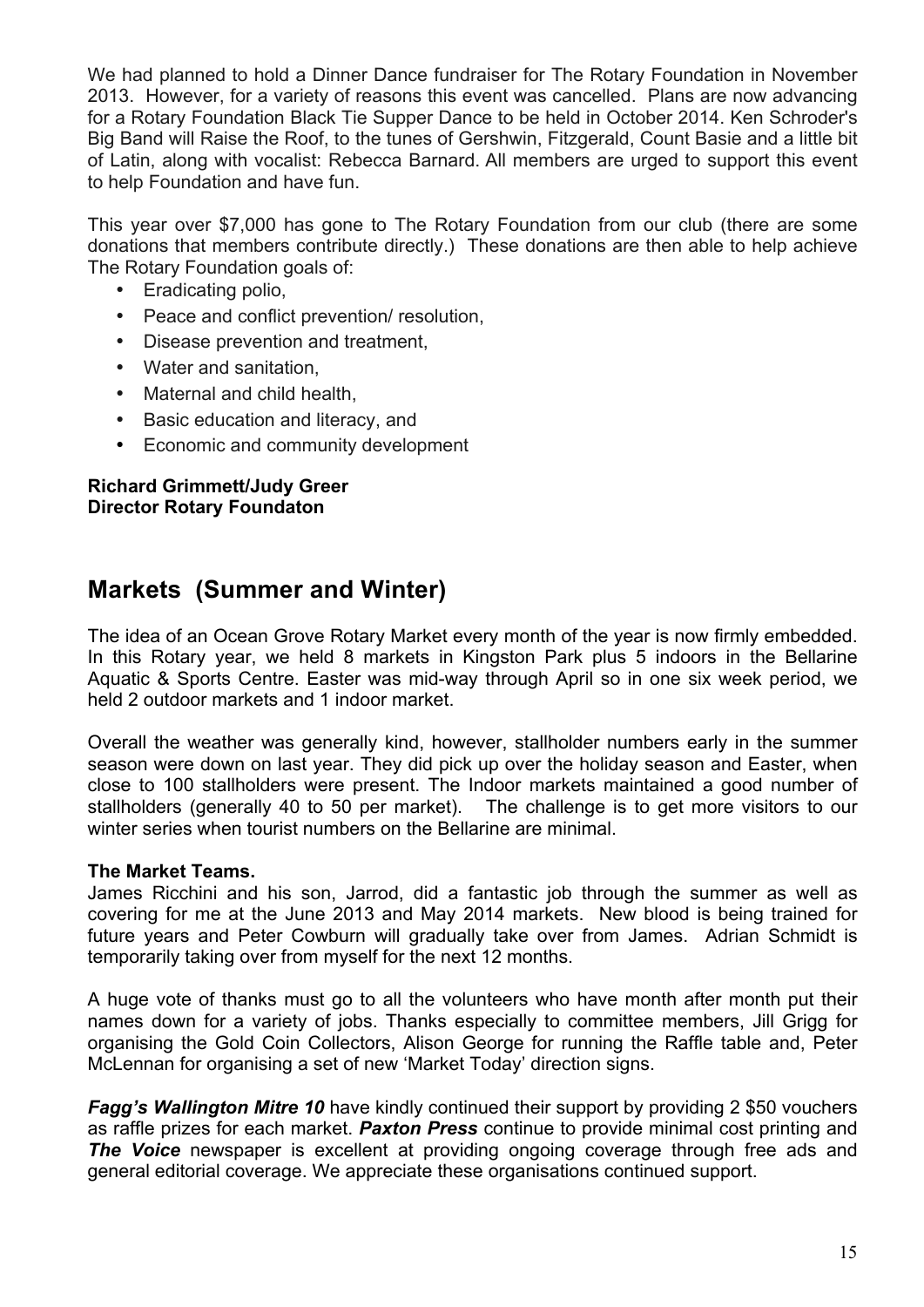We had planned to hold a Dinner Dance fundraiser for The Rotary Foundation in November 2013. However, for a variety of reasons this event was cancelled. Plans are now advancing for a Rotary Foundation Black Tie Supper Dance to be held in October 2014. Ken Schroder's Big Band will Raise the Roof, to the tunes of Gershwin, Fitzgerald, Count Basie and a little bit of Latin, along with vocalist: Rebecca Barnard. All members are urged to support this event to help Foundation and have fun.

This year over \$7,000 has gone to The Rotary Foundation from our club (there are some donations that members contribute directly.) These donations are then able to help achieve The Rotary Foundation goals of:

- Eradicating polio,
- Peace and conflict prevention/ resolution,
- Disease prevention and treatment,
- Water and sanitation,
- Maternal and child health,
- Basic education and literacy, and
- Economic and community development

#### **Richard Grimmett/Judy Greer Director Rotary Foundaton**

## **Markets (Summer and Winter)**

The idea of an Ocean Grove Rotary Market every month of the year is now firmly embedded. In this Rotary year, we held 8 markets in Kingston Park plus 5 indoors in the Bellarine Aquatic & Sports Centre. Easter was mid-way through April so in one six week period, we held 2 outdoor markets and 1 indoor market.

Overall the weather was generally kind, however, stallholder numbers early in the summer season were down on last year. They did pick up over the holiday season and Easter, when close to 100 stallholders were present. The Indoor markets maintained a good number of stallholders (generally 40 to 50 per market). The challenge is to get more visitors to our winter series when tourist numbers on the Bellarine are minimal.

#### **The Market Teams.**

James Ricchini and his son, Jarrod, did a fantastic job through the summer as well as covering for me at the June 2013 and May 2014 markets. New blood is being trained for future years and Peter Cowburn will gradually take over from James. Adrian Schmidt is temporarily taking over from myself for the next 12 months.

A huge vote of thanks must go to all the volunteers who have month after month put their names down for a variety of jobs. Thanks especially to committee members, Jill Grigg for organising the Gold Coin Collectors, Alison George for running the Raffle table and, Peter McLennan for organising a set of new 'Market Today' direction signs.

*Fagg's Wallington Mitre 10* **have kindly continued their support by providing 2 \$50 vouchers** as raffle prizes for each market. *Paxton Press* continue to provide minimal cost printing and **The Voice** newspaper is excellent at providing ongoing coverage through free ads and general editorial coverage. We appreciate these organisations continued support.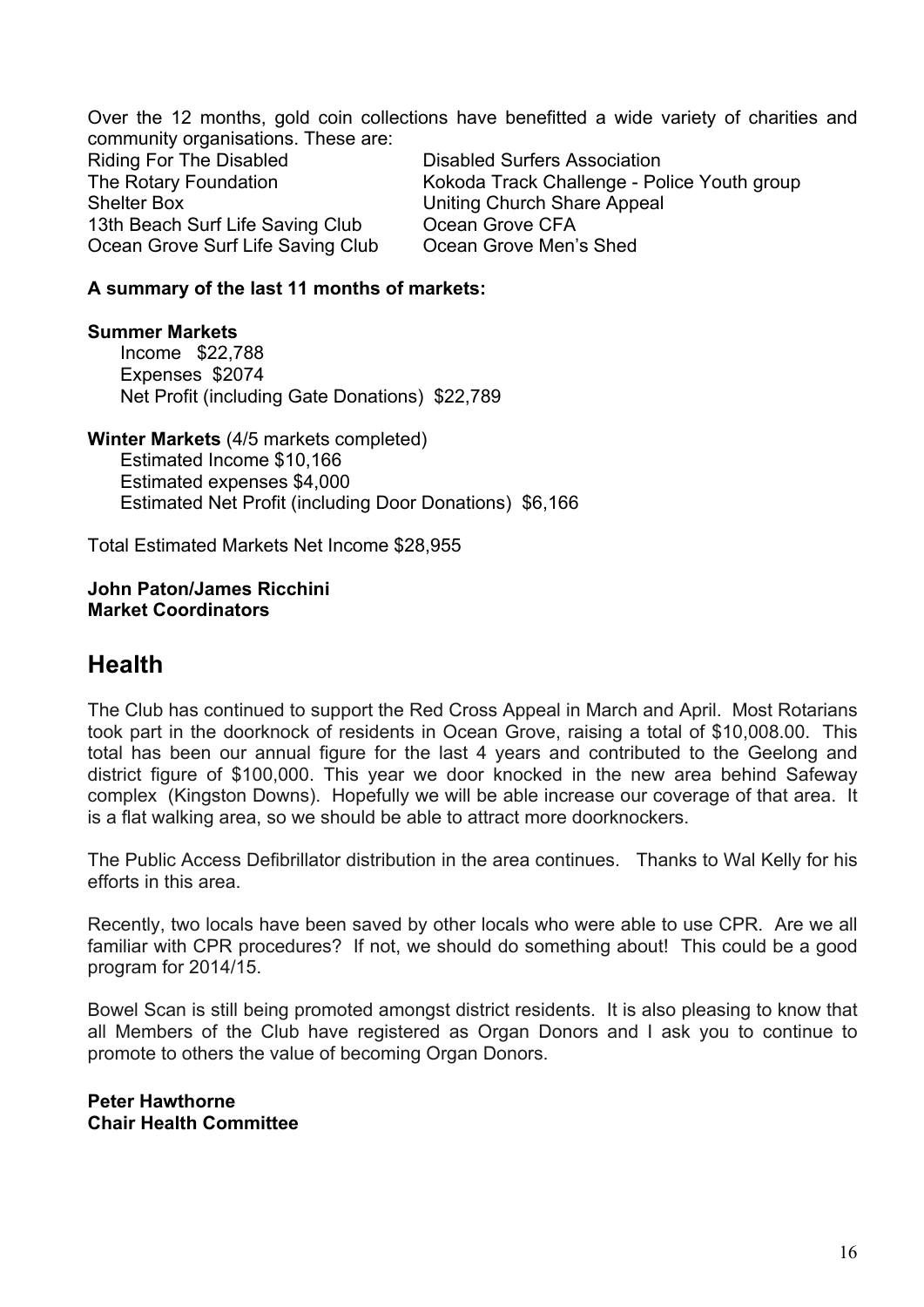Over the 12 months, gold coin collections have benefitted a wide variety of charities and community organisations. These are: Riding For The Disabled **Disabled Disabled Surfers Association** The Rotary Foundation The Rokoda Track Challenge - Police Youth group Shelter Box Uniting Church Share Appeal 13th Beach Surf Life Saving Club Ocean Grove CFA Ocean Grove Surf Life Saving Club Ocean Grove Men's Shed

#### **A summary of the last 11 months of markets:**

**Summer Markets**  Income \$22,788 Expenses \$2074 Net Profit (including Gate Donations) \$22,789

**Winter Markets** (4/5 markets completed) Estimated Income \$10,166 Estimated expenses \$4,000 Estimated Net Profit (including Door Donations) \$6,166

Total Estimated Markets Net Income \$28,955

**John Paton/James Ricchini Market Coordinators**

## **Health**

The Club has continued to support the Red Cross Appeal in March and April. Most Rotarians took part in the doorknock of residents in Ocean Grove, raising a total of \$10,008.00. This total has been our annual figure for the last 4 years and contributed to the Geelong and district figure of \$100,000. This year we door knocked in the new area behind Safeway complex (Kingston Downs). Hopefully we will be able increase our coverage of that area. It is a flat walking area, so we should be able to attract more doorknockers.

The Public Access Defibrillator distribution in the area continues. Thanks to Wal Kelly for his efforts in this area.

Recently, two locals have been saved by other locals who were able to use CPR. Are we all familiar with CPR procedures? If not, we should do something about! This could be a good program for 2014/15.

Bowel Scan is still being promoted amongst district residents. It is also pleasing to know that all Members of the Club have registered as Organ Donors and I ask you to continue to promote to others the value of becoming Organ Donors.

**Peter Hawthorne Chair Health Committee**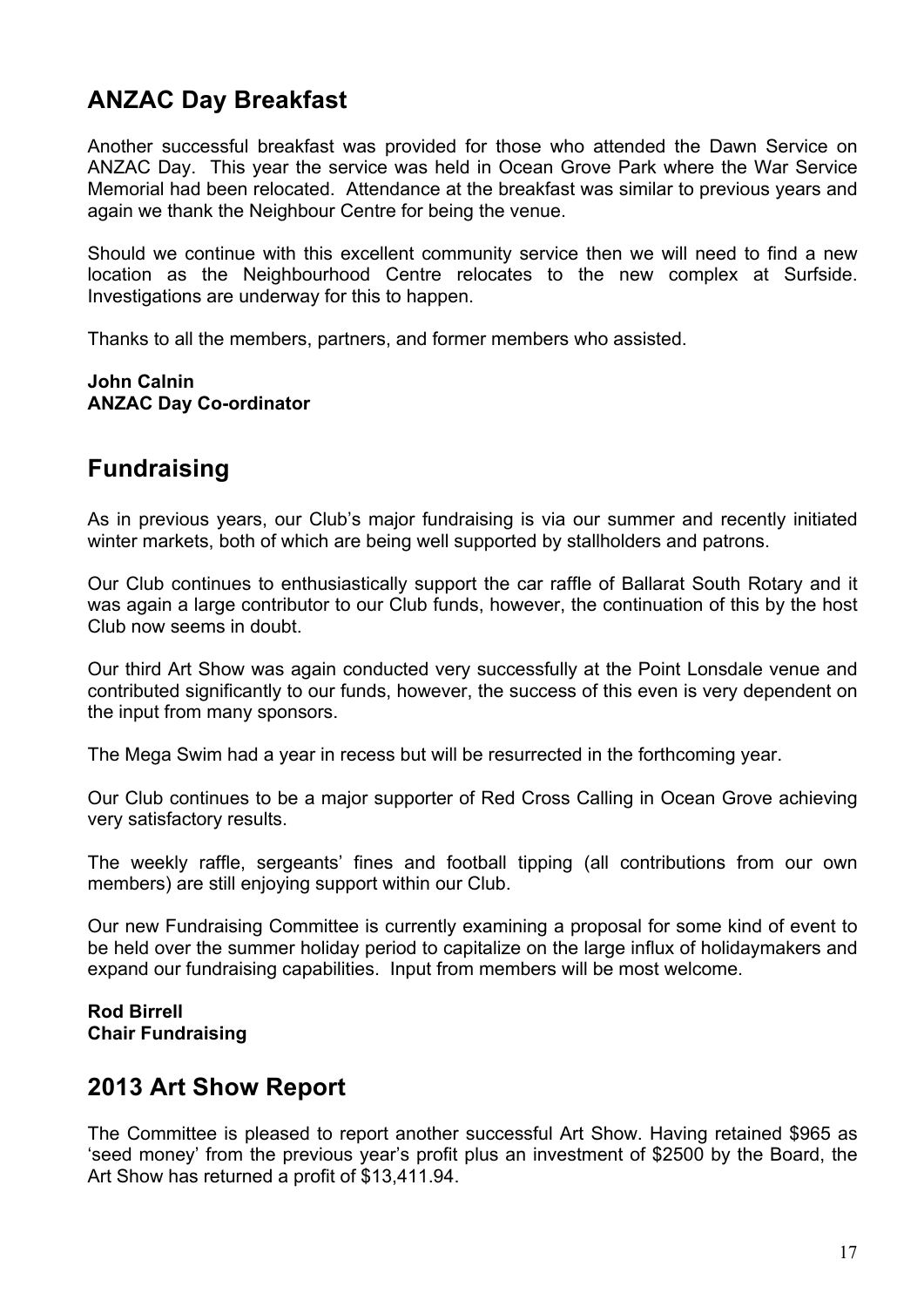## **ANZAC Day Breakfast**

Another successful breakfast was provided for those who attended the Dawn Service on ANZAC Day. This year the service was held in Ocean Grove Park where the War Service Memorial had been relocated. Attendance at the breakfast was similar to previous years and again we thank the Neighbour Centre for being the venue.

Should we continue with this excellent community service then we will need to find a new location as the Neighbourhood Centre relocates to the new complex at Surfside. Investigations are underway for this to happen.

Thanks to all the members, partners, and former members who assisted.

#### **John Calnin ANZAC Day Co-ordinator**

## **Fundraising**

As in previous years, our Club's major fundraising is via our summer and recently initiated winter markets, both of which are being well supported by stallholders and patrons.

Our Club continues to enthusiastically support the car raffle of Ballarat South Rotary and it was again a large contributor to our Club funds, however, the continuation of this by the host Club now seems in doubt.

Our third Art Show was again conducted very successfully at the Point Lonsdale venue and contributed significantly to our funds, however, the success of this even is very dependent on the input from many sponsors.

The Mega Swim had a year in recess but will be resurrected in the forthcoming year.

Our Club continues to be a major supporter of Red Cross Calling in Ocean Grove achieving very satisfactory results.

The weekly raffle, sergeants' fines and football tipping (all contributions from our own members) are still enjoying support within our Club.

Our new Fundraising Committee is currently examining a proposal for some kind of event to be held over the summer holiday period to capitalize on the large influx of holidaymakers and expand our fundraising capabilities. Input from members will be most welcome.

#### **Rod Birrell Chair Fundraising**

## **2013 Art Show Report**

The Committee is pleased to report another successful Art Show. Having retained \$965 as 'seed money' from the previous year's profit plus an investment of \$2500 by the Board, the Art Show has returned a profit of \$13,411.94.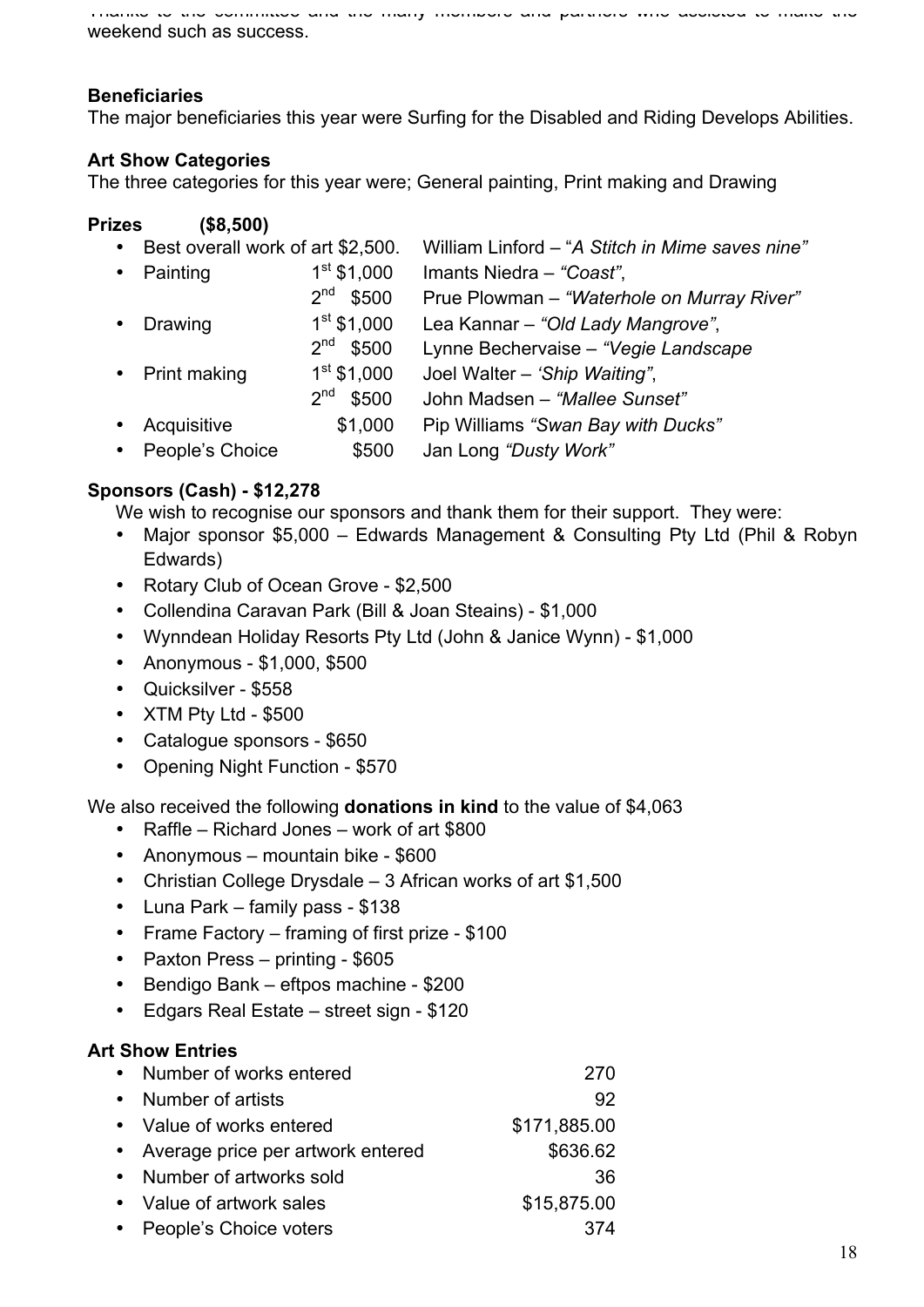Thanks to the committee and the many members and partners who assisted to make the weekend such as success.

#### **Beneficiaries**

The major beneficiaries this year were Surfing for the Disabled and Riding Develops Abilities.

#### **Art Show Categories**

The three categories for this year were; General painting, Print making and Drawing

#### **Prizes (\$8,500)**

| $\bullet$ | Best overall work of art \$2,500. |                          | William Linford - "A Stitch in Mime saves nine" |
|-----------|-----------------------------------|--------------------------|-------------------------------------------------|
| $\bullet$ | Painting                          | $1st$ \$1,000            | Imants Niedra - "Coast",                        |
|           |                                   | 2 <sup>nd</sup><br>\$500 | Prue Plowman - "Waterhole on Murray River"      |
| $\bullet$ | Drawing                           | $1st$ \$1,000            | Lea Kannar - "Old Lady Mangrove",               |
|           |                                   | 2 <sup>nd</sup><br>\$500 | Lynne Bechervaise - "Vegie Landscape            |
|           | • Print making                    | $1st$ \$1,000            | Joel Walter - 'Ship Waiting",                   |
|           |                                   | 2 <sup>nd</sup><br>\$500 | John Madsen - "Mallee Sunset"                   |
| $\bullet$ | Acquisitive                       | \$1,000                  | Pip Williams "Swan Bay with Ducks"              |
| $\bullet$ | People's Choice                   | \$500                    | Jan Long "Dusty Work"                           |

#### **Sponsors (Cash) - \$12,278**

We wish to recognise our sponsors and thank them for their support. They were:

- Major sponsor \$5,000 Edwards Management & Consulting Pty Ltd (Phil & Robyn Edwards)
- Rotary Club of Ocean Grove \$2,500
- Collendina Caravan Park (Bill & Joan Steains) \$1,000
- Wynndean Holiday Resorts Pty Ltd (John & Janice Wynn) \$1,000
- Anonymous \$1,000, \$500
- Quicksilver \$558
- XTM Pty Ltd \$500
- Catalogue sponsors \$650
- Opening Night Function \$570

We also received the following **donations in kind** to the value of \$4,063

- Raffle Richard Jones work of art \$800
- Anonymous mountain bike \$600
- Christian College Drysdale 3 African works of art \$1,500
- Luna Park family pass \$138
- Frame Factory framing of first prize \$100
- Paxton Press printing \$605
- Bendigo Bank eftpos machine \$200
- Edgars Real Estate street sign \$120

#### **Art Show Entries**

| Number of works entered             | 270          |
|-------------------------------------|--------------|
| Number of artists                   | 92           |
| • Value of works entered            | \$171,885.00 |
| • Average price per artwork entered | \$636.62     |
| Number of artworks sold             | 36           |
| • Value of artwork sales            | \$15,875.00  |
| • People's Choice voters            | 374          |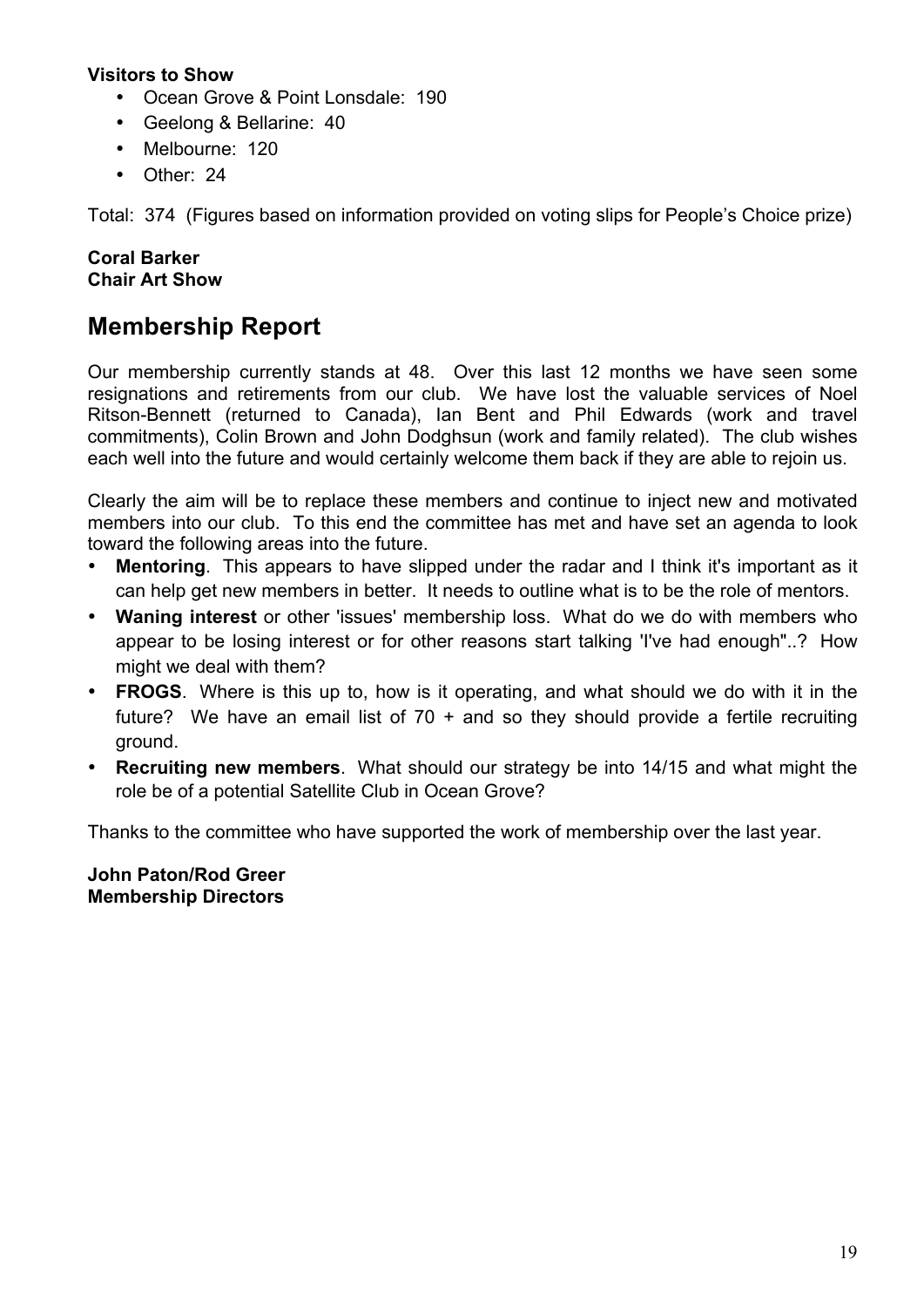#### **Visitors to Show**

- Ocean Grove & Point Lonsdale: 190
- Geelong & Bellarine: 40
- Melbourne: 120
- Other: 24

Total: 374 (Figures based on information provided on voting slips for People's Choice prize)

#### **Coral Barker Chair Art Show**

## **Membership Report**

Our membership currently stands at 48. Over this last 12 months we have seen some resignations and retirements from our club. We have lost the valuable services of Noel Ritson-Bennett (returned to Canada), Ian Bent and Phil Edwards (work and travel commitments), Colin Brown and John Dodghsun (work and family related). The club wishes each well into the future and would certainly welcome them back if they are able to rejoin us.

Clearly the aim will be to replace these members and continue to inject new and motivated members into our club. To this end the committee has met and have set an agenda to look toward the following areas into the future.

- **Mentoring**. This appears to have slipped under the radar and I think it's important as it can help get new members in better. It needs to outline what is to be the role of mentors.
- **Waning interest** or other 'issues' membership loss. What do we do with members who appear to be losing interest or for other reasons start talking 'I've had enough"..? How might we deal with them?
- **FROGS**. Where is this up to, how is it operating, and what should we do with it in the future? We have an email list of  $70 +$  and so they should provide a fertile recruiting ground.
- **Recruiting new members.** What should our strategy be into 14/15 and what might the role be of a potential Satellite Club in Ocean Grove?

Thanks to the committee who have supported the work of membership over the last year.

**John Paton/Rod Greer Membership Directors**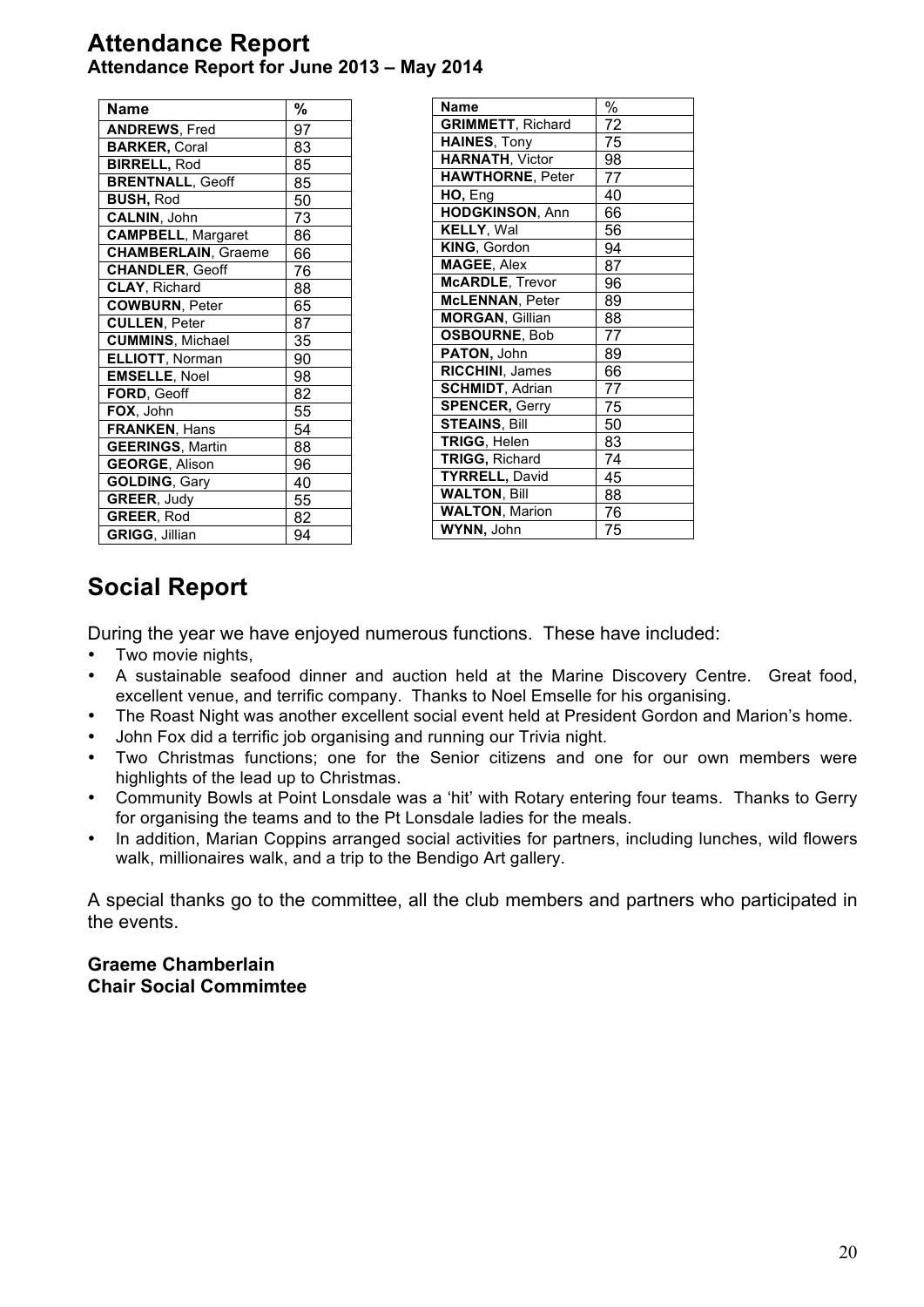## **Attendance Report Attendance Report for June 2013 – May 2014**

| Name                       | %  |
|----------------------------|----|
| <b>ANDREWS, Fred</b>       | 97 |
| <b>BARKER, Coral</b>       | 83 |
| <b>BIRRELL, Rod</b>        | 85 |
| <b>BRENTNALL, Geoff</b>    | 85 |
| <b>BUSH, Rod</b>           | 50 |
| <b>CALNIN, John</b>        | 73 |
| <b>CAMPBELL, Margaret</b>  | 86 |
| <b>CHAMBERLAIN, Graeme</b> | 66 |
| <b>CHANDLER, Geoff</b>     | 76 |
| <b>CLAY, Richard</b>       | 88 |
| <b>COWBURN, Peter</b>      | 65 |
| <b>CULLEN, Peter</b>       | 87 |
| <b>CUMMINS, Michael</b>    | 35 |
| ELLIOTT, Norman            | 90 |
| <b>EMSELLE, Noel</b>       | 98 |
| FORD, Geoff                | 82 |
| FOX, John                  | 55 |
| FRANKEN, Hans              | 54 |
| <b>GEERINGS, Martin</b>    | 88 |
| <b>GEORGE, Alison</b>      | 96 |
| <b>GOLDING, Gary</b>       | 40 |
| GREER, Judy                | 55 |
| <b>GREER, Rod</b>          | 82 |
| GRIGG, Jillian             | 94 |

| <b>Name</b>              | $\%$ |
|--------------------------|------|
| <b>GRIMMETT, Richard</b> | 72   |
| <b>HAINES, Tony</b>      | 75   |
| <b>HARNATH, Victor</b>   | 98   |
| <b>HAWTHORNE, Peter</b>  | 77   |
| HO, Eng                  | 40   |
| <b>HODGKINSON, Ann</b>   | 66   |
| KELLY, Wal               | 56   |
| KING, Gordon             | 94   |
| <b>MAGEE, Alex</b>       | 87   |
| <b>McARDLE, Trevor</b>   | 96   |
| <b>McLENNAN, Peter</b>   | 89   |
| <b>MORGAN, Gillian</b>   | 88   |
| <b>OSBOURNE, Bob</b>     | 77   |
| PATON, John              | 89   |
| <b>RICCHINI, James</b>   | 66   |
| <b>SCHMIDT, Adrian</b>   | 77   |
| <b>SPENCER, Gerry</b>    | 75   |
| <b>STEAINS, Bill</b>     | 50   |
| TRIGG, Helen             | 83   |
| <b>TRIGG, Richard</b>    | 74   |
| <b>TYRRELL, David</b>    | 45   |
| <b>WALTON, Bill</b>      | 88   |
| <b>WALTON, Marion</b>    | 76   |
| WYNN, John               | 75   |

## **Social Report**

During the year we have enjoyed numerous functions. These have included:

- Two movie nights,
- A sustainable seafood dinner and auction held at the Marine Discovery Centre. Great food, excellent venue, and terrific company. Thanks to Noel Emselle for his organising.
- The Roast Night was another excellent social event held at President Gordon and Marion's home.
- John Fox did a terrific job organising and running our Trivia night.
- Two Christmas functions; one for the Senior citizens and one for our own members were highlights of the lead up to Christmas.
- Community Bowls at Point Lonsdale was a 'hit' with Rotary entering four teams. Thanks to Gerry for organising the teams and to the Pt Lonsdale ladies for the meals.
- In addition, Marian Coppins arranged social activities for partners, including lunches, wild flowers walk, millionaires walk, and a trip to the Bendigo Art gallery.

A special thanks go to the committee, all the club members and partners who participated in the events.

#### **Graeme Chamberlain Chair Social Commimtee**